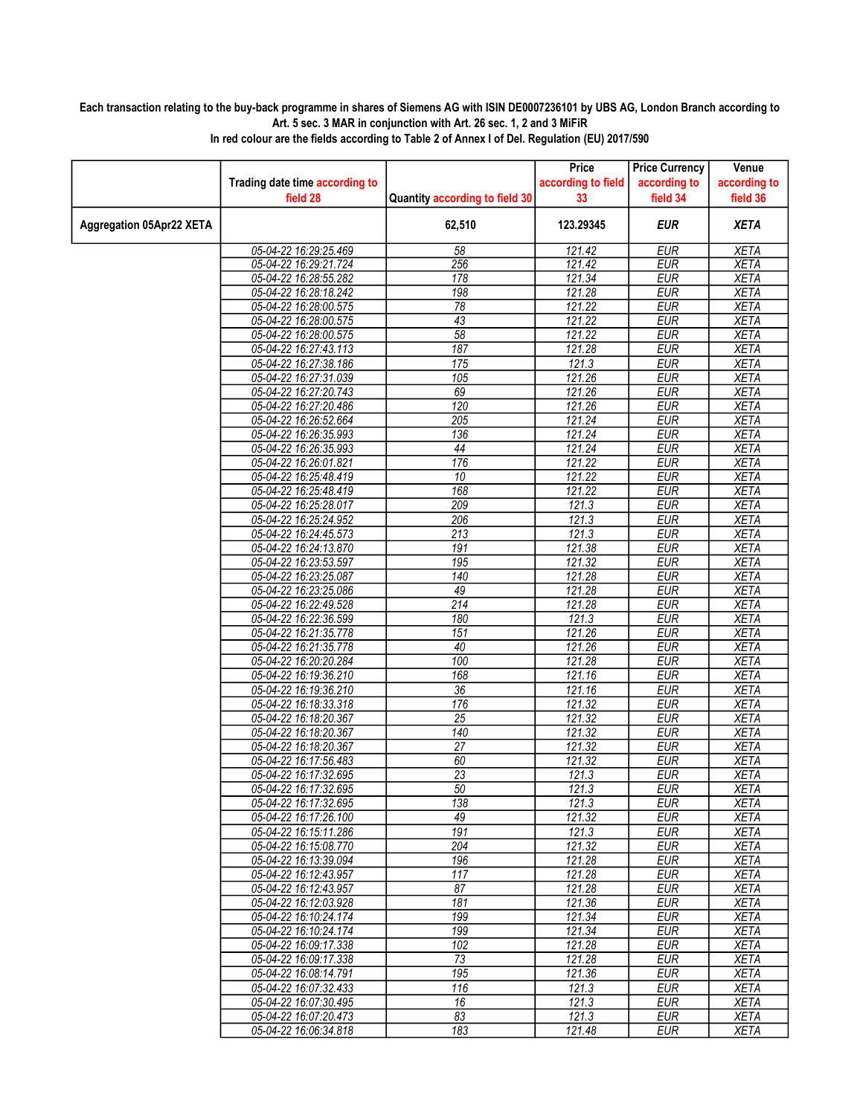## Each transaction relating to the buy-back programme in shares of Siemens AG with ISIN DE0007236101 by UBS AG, London Branch according to Art. 5 sec. 3 MAR in conjunction with Art. 26 sec. 1, 2 and 3 MiFiR

|                                 |                                                |                                | Price              | <b>Price Currency</b>    | Venue                      |
|---------------------------------|------------------------------------------------|--------------------------------|--------------------|--------------------------|----------------------------|
|                                 | Trading date time according to                 |                                | according to field | according to             | according to               |
|                                 | field 28                                       | Quantity according to field 30 | 33                 | field 34                 | field 36                   |
| <b>Aggregation 05Apr22 XETA</b> |                                                | 62,510                         | 123.29345          | <b>EUR</b>               | <b>XETA</b>                |
|                                 | 05-04-22 16:29:25.469                          | 58                             | 121.42             | <b>EUR</b>               | <b>XETA</b>                |
|                                 | 05-04-22 16:29:21.724                          | 256                            | 121.42             | <b>EUR</b>               | <b>XETA</b>                |
|                                 | 05-04-22 16:28:55.282                          | 178                            | 121.34             | <b>EUR</b>               | <b>XETA</b>                |
|                                 | 05-04-22 16:28:18.242                          | 198                            | 121.28             | <b>EUR</b>               | <b>XETA</b>                |
|                                 | 05-04-22 16:28:00.575                          | $\overline{78}$                | 121.22             | <b>EUR</b>               | <b>XETA</b>                |
|                                 | 05-04-22 16:28:00.575                          | 43                             | 121.22             | <b>EUR</b>               | <b>XETA</b>                |
|                                 | 05-04-22 16:28:00.575                          | 58                             | 121.22             | <b>EUR</b>               | <b>XETA</b>                |
|                                 | 05-04-22 16:27:43.113                          | 187                            | 121.28             | <b>EUR</b>               | <b>XETA</b>                |
|                                 | 05-04-22 16:27:38.186                          | 175                            | 121.3              | <b>EUR</b>               | <b>XETA</b>                |
|                                 | 05-04-22 16:27:31.039                          | $\overline{105}$               | 121.26             | <b>EUR</b>               | <b>XETA</b>                |
|                                 | 05-04-22 16:27:20.743                          | 69                             | 121.26             | <b>EUR</b>               | <b>XETA</b>                |
|                                 | 05-04-22 16:27:20.486                          | $\overline{120}$               | 121.26             | <b>EUR</b>               | <b>XETA</b>                |
|                                 | 05-04-22 16:26:52.664                          | 205<br>136                     | 121.24<br>121.24   | <b>EUR</b><br><b>EUR</b> | <b>XETA</b><br><b>XETA</b> |
|                                 | 05-04-22 16:26:35.993<br>05-04-22 16:26:35.993 | 44                             | 121.24             | <b>EUR</b>               | <b>XETA</b>                |
|                                 | 05-04-22 16:26:01.821                          | 176                            | 121.22             | <b>EUR</b>               | <b>XETA</b>                |
|                                 | 05-04-22 16:25:48.419                          | 10                             | 121.22             | <b>EUR</b>               | <b>XETA</b>                |
|                                 | 05-04-22 16:25:48.419                          | 168                            | 121.22             | <b>EUR</b>               | <b>XETA</b>                |
|                                 | 05-04-22 16:25:28.017                          | 209                            | 121.3              | <b>EUR</b>               | <b>XETA</b>                |
|                                 | 05-04-22 16:25:24.952                          | 206                            | 121.3              | <b>EUR</b>               | <b>XETA</b>                |
|                                 | 05-04-22 16:24:45.573                          | 213                            | 121.3              | <b>EUR</b>               | <b>XETA</b>                |
|                                 | 05-04-22 16:24:13.870                          | 191                            | 121.38             | <b>EUR</b>               | <b>XETA</b>                |
|                                 | 05-04-22 16:23:53.597                          | 195                            | 121.32             | <b>EUR</b>               | <b>XETA</b>                |
|                                 | 05-04-22 16:23:25.087                          | 140                            | 121.28             | <b>EUR</b>               | <b>XETA</b>                |
|                                 | 05-04-22 16:23:25.086                          | 49                             | 121.28             | <b>EUR</b>               | <b>XETA</b>                |
|                                 | 05-04-22 16:22:49.528                          | $\overline{214}$               | 121.28             | <b>EUR</b>               | <b>XETA</b>                |
|                                 | 05-04-22 16:22:36.599                          | 180                            | 121.3              | <b>EUR</b>               | <b>XETA</b>                |
|                                 | 05-04-22 16:21:35.778                          | 151                            | 121.26             | <b>EUR</b>               | <b>XETA</b>                |
|                                 | 05-04-22 16:21:35.778                          | 40                             | 121.26             | <b>EUR</b>               | <b>XETA</b>                |
|                                 | 05-04-22 16:20:20.284                          | 100                            | 121.28             | <b>EUR</b>               | <b>XETA</b>                |
|                                 | 05-04-22 16:19:36.210                          | 168                            | 121.16             | <b>EUR</b>               | <b>XETA</b>                |
|                                 | 05-04-22 16:19:36.210                          | $\overline{36}$                | 121.16             | <b>EUR</b>               | <b>XETA</b>                |
|                                 | 05-04-22 16:18:33.318                          | 176                            | 121.32             | <b>EUR</b>               | <b>XETA</b>                |
|                                 | 05-04-22 16:18:20.367                          | $\overline{25}$                | 121.32             | <b>EUR</b>               | <b>XETA</b>                |
|                                 | 05-04-22 16:18:20.367                          | 140                            | 121.32             | <b>EUR</b>               | <b>XETA</b>                |
|                                 | 05-04-22 16:18:20.367                          | 27                             | 121.32             | <b>EUR</b>               | <b>XETA</b>                |
|                                 | 05-04-22 16:17:56.483                          | 60                             | 121.32             | <b>EUR</b>               | <b>XETA</b>                |
|                                 | 05-04-22 16:17:32.695                          | 23                             | 121.3              | <b>EUR</b>               | <b>XETA</b>                |
|                                 | 05-04-22 16:17:32.695                          | 50                             | 121.3              | <b>EUR</b>               | <b>XETA</b>                |
|                                 | 05-04-22 16:17:32.695                          | 138                            | 121.3              | EUR                      | <b>XETA</b>                |
|                                 | 05-04-22 16:17:26.100                          | 49                             | 121.32             | EUR                      | XETA                       |
|                                 | 05-04-22 16:15:11.286                          | 191                            | 121.3              | <b>EUR</b>               | <b>XETA</b>                |
|                                 | 05-04-22 16:15:08.770                          | $\overline{204}$               | 121.32             | <b>EUR</b>               | <b>XETA</b>                |
|                                 | 05-04-22 16:13:39.094                          | 196                            | 121.28             | <b>EUR</b>               | <b>XETA</b>                |
|                                 | 05-04-22 16:12:43.957<br>05-04-22 16:12:43.957 | 117<br>87                      | 121.28<br>121.28   | <b>EUR</b><br><b>EUR</b> | <b>XETA</b><br><b>XETA</b> |
|                                 | 05-04-22 16:12:03.928                          | 181                            | 121.36             | EUR                      | <b>XETA</b>                |
|                                 | 05-04-22 16:10:24.174                          | 199                            | 121.34             | <b>EUR</b>               | <b>XETA</b>                |
|                                 | 05-04-22 16:10:24.174                          | 199                            | 121.34             | <b>EUR</b>               | <b>XETA</b>                |
|                                 | 05-04-22 16:09:17.338                          | 102                            | 121.28             | <b>EUR</b>               | <b>XETA</b>                |
|                                 | 05-04-22 16:09:17.338                          | $\overline{73}$                | 121.28             | <b>EUR</b>               | <b>XETA</b>                |
|                                 | 05-04-22 16:08:14.791                          | 195                            | 121.36             | EUR                      | <b>XETA</b>                |
|                                 | 05-04-22 16:07:32.433                          | 116                            | 121.3              | EUR                      | <b>XETA</b>                |
|                                 | 05-04-22 16:07:30.495                          | 16                             | 121.3              | <b>EUR</b>               | <b>XETA</b>                |
|                                 | 05-04-22 16:07:20.473                          | 83                             | 121.3              | <b>EUR</b>               | <b>XETA</b>                |
|                                 | 05-04-22 16:06:34.818                          | 183                            | 121.48             | <b>EUR</b>               | <b>XETA</b>                |
|                                 |                                                |                                |                    |                          |                            |

In red colour are the fields according to Table 2 of Annex I of Del. Regulation (EU) 2017/590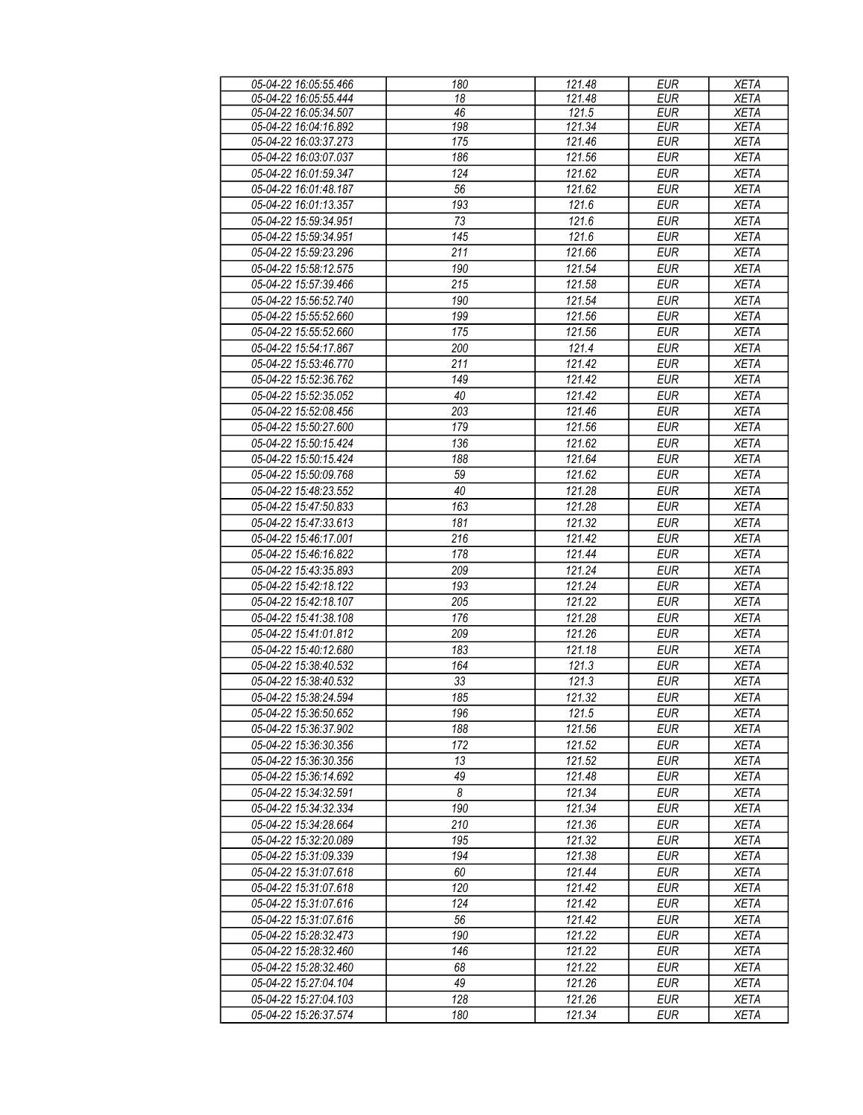| 05-04-22 16:05:55.466 | 180 | 121.48 | <b>EUR</b> | <b>XETA</b> |
|-----------------------|-----|--------|------------|-------------|
| 05-04-22 16:05:55.444 | 18  | 121.48 | <b>EUR</b> | <b>XETA</b> |
| 05-04-22 16:05:34.507 | 46  | 121.5  | <b>EUR</b> | <b>XETA</b> |
| 05-04-22 16:04:16.892 | 198 | 121.34 | <b>EUR</b> | <b>XETA</b> |
| 05-04-22 16:03:37.273 | 175 | 121.46 | <b>EUR</b> | <b>XETA</b> |
| 05-04-22 16:03:07.037 | 186 | 121.56 | <b>EUR</b> | <b>XETA</b> |
|                       |     |        | <b>EUR</b> |             |
| 05-04-22 16:01:59.347 | 124 | 121.62 |            | <b>XETA</b> |
| 05-04-22 16:01:48.187 | 56  | 121.62 | <b>EUR</b> | <b>XETA</b> |
| 05-04-22 16:01:13.357 | 193 | 121.6  | <b>EUR</b> | <b>XETA</b> |
| 05-04-22 15:59:34.951 | 73  | 121.6  | <b>EUR</b> | <b>XETA</b> |
| 05-04-22 15:59:34.951 | 145 | 121.6  | <b>EUR</b> | <b>XETA</b> |
| 05-04-22 15:59:23.296 | 211 | 121.66 | <b>EUR</b> | <b>XETA</b> |
| 05-04-22 15:58:12.575 | 190 | 121.54 | <b>EUR</b> | <b>XETA</b> |
| 05-04-22 15:57:39.466 | 215 | 121.58 | <b>EUR</b> | <b>XETA</b> |
| 05-04-22 15:56:52.740 | 190 | 121.54 | <b>EUR</b> | <b>XETA</b> |
| 05-04-22 15:55:52.660 | 199 | 121.56 | <b>EUR</b> | <b>XETA</b> |
|                       |     |        | <b>EUR</b> |             |
| 05-04-22 15:55:52.660 | 175 | 121.56 |            | <b>XETA</b> |
| 05-04-22 15:54:17.867 | 200 | 121.4  | <b>EUR</b> | <b>XETA</b> |
| 05-04-22 15:53:46.770 | 211 | 121.42 | <b>EUR</b> | <b>XETA</b> |
| 05-04-22 15:52:36.762 | 149 | 121.42 | <b>EUR</b> | <b>XETA</b> |
| 05-04-22 15:52:35.052 | 40  | 121.42 | <b>EUR</b> | <b>XETA</b> |
| 05-04-22 15:52:08.456 | 203 | 121.46 | <b>EUR</b> | <b>XETA</b> |
| 05-04-22 15:50:27.600 | 179 | 121.56 | <b>EUR</b> | <b>XETA</b> |
| 05-04-22 15:50:15.424 | 136 | 121.62 | <b>EUR</b> | <b>XETA</b> |
| 05-04-22 15:50:15.424 | 188 | 121.64 | <b>EUR</b> | <b>XETA</b> |
| 05-04-22 15:50:09.768 | 59  | 121.62 | <b>EUR</b> | <b>XETA</b> |
|                       |     |        |            |             |
| 05-04-22 15:48:23.552 | 40  | 121.28 | <b>EUR</b> | <b>XETA</b> |
| 05-04-22 15:47:50.833 | 163 | 121.28 | <b>EUR</b> | <b>XETA</b> |
| 05-04-22 15:47:33.613 | 181 | 121.32 | <b>EUR</b> | <b>XETA</b> |
| 05-04-22 15:46:17.001 | 216 | 121.42 | <b>EUR</b> | <b>XETA</b> |
| 05-04-22 15:46:16.822 | 178 | 121.44 | <b>EUR</b> | <b>XETA</b> |
| 05-04-22 15:43:35.893 | 209 | 121.24 | <b>EUR</b> | <b>XETA</b> |
| 05-04-22 15:42:18.122 | 193 | 121.24 | <b>EUR</b> | <b>XETA</b> |
| 05-04-22 15:42:18.107 | 205 | 121.22 | <b>EUR</b> | <b>XETA</b> |
| 05-04-22 15:41:38.108 | 176 | 121.28 | <b>EUR</b> | <b>XETA</b> |
| 05-04-22 15:41:01.812 | 209 | 121.26 | <b>EUR</b> | <b>XETA</b> |
| 05-04-22 15:40:12.680 | 183 | 121.18 | <b>EUR</b> |             |
|                       |     |        |            | XETA        |
| 05-04-22 15:38:40.532 | 164 | 121.3  | <b>EUR</b> | <b>XETA</b> |
| 05-04-22 15:38:40.532 | 33  | 121.3  | <b>EUR</b> | <b>XETA</b> |
| 05-04-22 15:38:24.594 | 185 | 121.32 | <b>EUR</b> | <b>XETA</b> |
| 05-04-22 15:36:50.652 | 196 | 121.5  | <b>EUR</b> | <b>XETA</b> |
| 05-04-22 15:36:37.902 | 188 | 121.56 | <b>EUR</b> | <b>XETA</b> |
| 05-04-22 15:36:30.356 | 172 | 121.52 | EUR        | XETA        |
| 05-04-22 15:36:30.356 | 13  | 121.52 | EUR        | <b>XETA</b> |
| 05-04-22 15:36:14.692 | 49  | 121.48 | <b>EUR</b> | XETA        |
| 05-04-22 15:34:32.591 | 8   | 121.34 | <b>EUR</b> | XETA        |
| 05-04-22 15:34:32.334 | 190 | 121.34 | EUR        | XETA        |
| 05-04-22 15:34:28.664 | 210 | 121.36 | <b>EUR</b> | <b>XETA</b> |
|                       |     |        |            |             |
| 05-04-22 15:32:20.089 | 195 | 121.32 | <b>EUR</b> | <b>XETA</b> |
| 05-04-22 15:31:09.339 | 194 | 121.38 | <b>EUR</b> | <b>XETA</b> |
| 05-04-22 15:31:07.618 | 60  | 121.44 | EUR        | <b>XETA</b> |
| 05-04-22 15:31:07.618 | 120 | 121.42 | <b>EUR</b> | XETA        |
| 05-04-22 15:31:07.616 | 124 | 121.42 | <b>EUR</b> | XETA        |
| 05-04-22 15:31:07.616 | 56  | 121.42 | <b>EUR</b> | XETA        |
| 05-04-22 15:28:32.473 | 190 | 121.22 | <b>EUR</b> | <b>XETA</b> |
| 05-04-22 15:28:32.460 | 146 | 121.22 | <b>EUR</b> | <b>XETA</b> |
| 05-04-22 15:28:32.460 | 68  | 121.22 | <b>EUR</b> | <b>XETA</b> |
| 05-04-22 15:27:04.104 | 49  | 121.26 | <b>EUR</b> | <b>XETA</b> |
| 05-04-22 15:27:04.103 | 128 | 121.26 | EUR        | <b>XETA</b> |
|                       |     |        |            |             |
| 05-04-22 15:26:37.574 | 180 | 121.34 | EUR        | <b>XETA</b> |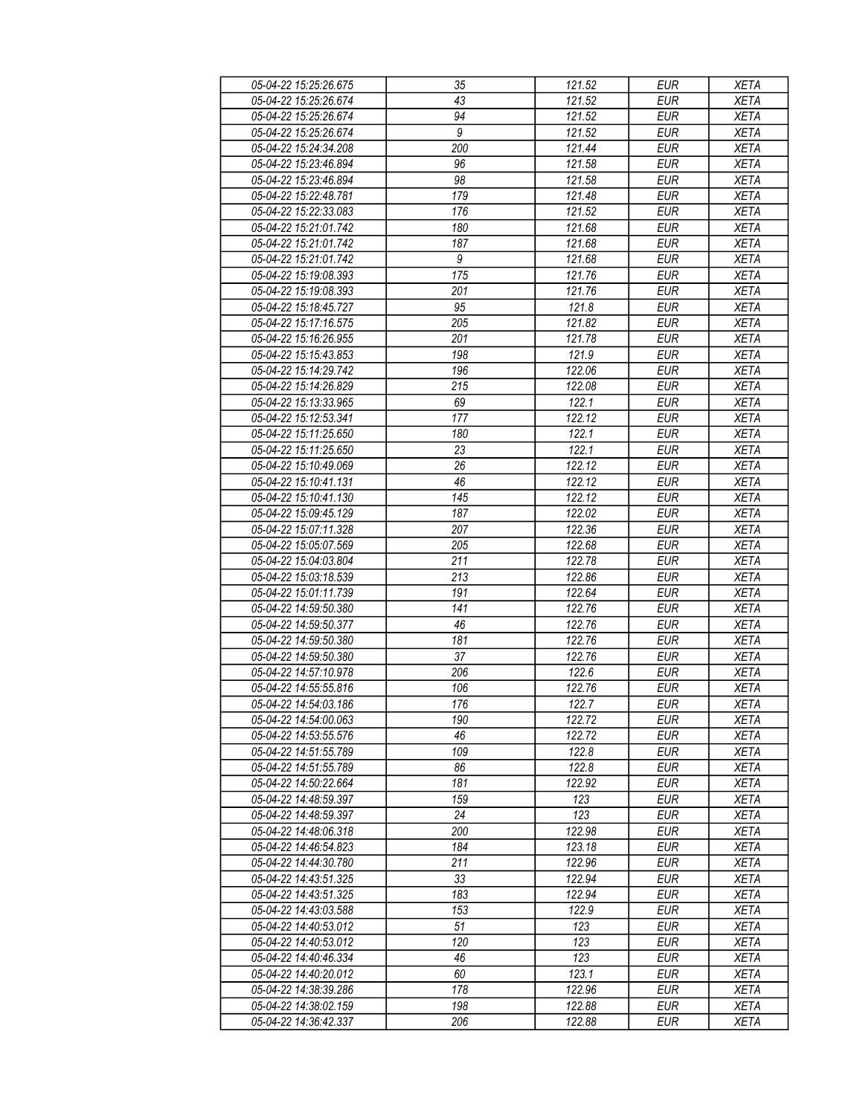| 05-04-22 15:25:26.675 | 35               | 121.52 | EUR        | <b>XETA</b> |
|-----------------------|------------------|--------|------------|-------------|
| 05-04-22 15:25:26.674 | 43               | 121.52 | <b>EUR</b> | <b>XETA</b> |
| 05-04-22 15:25:26.674 | $\overline{94}$  | 121.52 | <b>EUR</b> | <b>XETA</b> |
| 05-04-22 15:25:26.674 | $\overline{9}$   | 121.52 | <b>EUR</b> | <b>XETA</b> |
| 05-04-22 15:24:34.208 | 200              | 121.44 | <b>EUR</b> | <b>XETA</b> |
| 05-04-22 15:23:46.894 | 96               | 121.58 | <b>EUR</b> | <b>XETA</b> |
|                       |                  |        | <b>EUR</b> | <b>XETA</b> |
| 05-04-22 15:23:46.894 | 98               | 121.58 |            |             |
| 05-04-22 15:22:48.781 | 179              | 121.48 | EUR        | <b>XETA</b> |
| 05-04-22 15:22:33.083 | 176              | 121.52 | <b>EUR</b> | <b>XETA</b> |
| 05-04-22 15:21:01.742 | 180              | 121.68 | <b>EUR</b> | <b>XETA</b> |
| 05-04-22 15:21:01.742 | 187              | 121.68 | <b>EUR</b> | <b>XETA</b> |
| 05-04-22 15:21:01.742 | $\boldsymbol{9}$ | 121.68 | <b>EUR</b> | <b>XETA</b> |
| 05-04-22 15:19:08.393 | 175              | 121.76 | <b>EUR</b> | <b>XETA</b> |
| 05-04-22 15:19:08.393 | 201              | 121.76 | <b>EUR</b> | <b>XETA</b> |
| 05-04-22 15:18:45.727 | 95               | 121.8  | <b>EUR</b> | <b>XETA</b> |
| 05-04-22 15:17:16.575 | 205              | 121.82 | <b>EUR</b> | <b>XETA</b> |
| 05-04-22 15:16:26.955 | 201              | 121.78 | <b>EUR</b> | <b>XETA</b> |
| 05-04-22 15:15:43.853 | 198              | 121.9  | <b>EUR</b> | <b>XETA</b> |
| 05-04-22 15:14:29.742 | 196              | 122.06 | <b>EUR</b> | <b>XETA</b> |
| 05-04-22 15:14:26.829 | $\overline{215}$ | 122.08 | <b>EUR</b> | <b>XETA</b> |
| 05-04-22 15:13:33.965 | 69               | 122.1  | <b>EUR</b> | <b>XETA</b> |
| 05-04-22 15:12:53.341 | 177              | 122.12 | <b>EUR</b> | <b>XETA</b> |
| 05-04-22 15:11:25.650 | 180              | 122.1  | <b>EUR</b> | <b>XETA</b> |
| 05-04-22 15:11:25.650 | 23               | 122.1  | <b>EUR</b> | <b>XETA</b> |
| 05-04-22 15:10:49.069 | 26               | 122.12 | <b>EUR</b> | <b>XETA</b> |
|                       |                  |        |            | <b>XETA</b> |
| 05-04-22 15:10:41.131 | 46               | 122.12 | <b>EUR</b> |             |
| 05-04-22 15:10:41.130 | 145              | 122.12 | <b>EUR</b> | <b>XETA</b> |
| 05-04-22 15:09:45.129 | 187              | 122.02 | <b>EUR</b> | <b>XETA</b> |
| 05-04-22 15:07:11.328 | 207              | 122.36 | <b>EUR</b> | <b>XETA</b> |
| 05-04-22 15:05:07.569 | 205              | 122.68 | <b>EUR</b> | <b>XETA</b> |
| 05-04-22 15:04:03.804 | 211              | 122.78 | <b>EUR</b> | <b>XETA</b> |
| 05-04-22 15:03:18.539 | 213              | 122.86 | <b>EUR</b> | <b>XETA</b> |
| 05-04-22 15:01:11.739 | 191              | 122.64 | EUR        | <b>XETA</b> |
| 05-04-22 14:59:50.380 | 141              | 122.76 | <b>EUR</b> | <b>XETA</b> |
| 05-04-22 14:59:50.377 | 46               | 122.76 | <b>EUR</b> | <b>XETA</b> |
| 05-04-22 14:59:50.380 | 181              | 122.76 | <b>EUR</b> | <b>XETA</b> |
| 05-04-22 14:59:50.380 | 37               | 122.76 | <b>EUR</b> | <b>XETA</b> |
| 05-04-22 14:57:10.978 | 206              | 122.6  | <b>EUR</b> | <b>XETA</b> |
| 05-04-22 14:55:55.816 | 106              | 122.76 | <b>EUR</b> | <b>XETA</b> |
| 05-04-22 14:54:03.186 | 176              | 122.7  | <b>EUR</b> | <b>XETA</b> |
| 05-04-22 14:54:00.063 | 190              | 122.72 | EUR        | XETA        |
| 05-04-22 14:53:55.576 | 46               | 122.72 | <b>EUR</b> | <b>XETA</b> |
| 05-04-22 14:51:55.789 | 109              | 122.8  | <b>EUR</b> | <b>XETA</b> |
| 05-04-22 14:51:55.789 | 86               | 122.8  | <b>EUR</b> | <b>XETA</b> |
| 05-04-22 14:50:22.664 | 181              | 122.92 | EUR        | <b>XETA</b> |
| 05-04-22 14:48:59.397 | 159              | 123    | <b>EUR</b> | <b>XETA</b> |
|                       |                  |        |            |             |
| 05-04-22 14:48:59.397 | 24               | 123    | <b>EUR</b> | <b>XETA</b> |
| 05-04-22 14:48:06.318 | 200              | 122.98 | <b>EUR</b> | <b>XETA</b> |
| 05-04-22 14:46:54.823 | 184              | 123.18 | <b>EUR</b> | <b>XETA</b> |
| 05-04-22 14:44:30.780 | 211              | 122.96 | EUR        | <b>XETA</b> |
| 05-04-22 14:43:51.325 | 33               | 122.94 | <b>EUR</b> | <b>XETA</b> |
| 05-04-22 14:43:51.325 | 183              | 122.94 | EUR        | <b>XETA</b> |
| 05-04-22 14:43:03.588 | 153              | 122.9  | <b>EUR</b> | <b>XETA</b> |
| 05-04-22 14:40:53.012 | 51               | 123    | EUR        | <b>XETA</b> |
| 05-04-22 14:40:53.012 | 120              | 123    | EUR        | <b>XETA</b> |
| 05-04-22 14:40:46.334 | 46               | 123    | <b>EUR</b> | <b>XETA</b> |
| 05-04-22 14:40:20.012 | 60               | 123.1  | <b>EUR</b> | <b>XETA</b> |
| 05-04-22 14:38:39.286 | 178              | 122.96 | EUR        | XETA        |
| 05-04-22 14:38:02.159 | 198              | 122.88 | EUR        | <b>XETA</b> |
| 05-04-22 14:36:42.337 | 206              | 122.88 | EUR        | XETA        |
|                       |                  |        |            |             |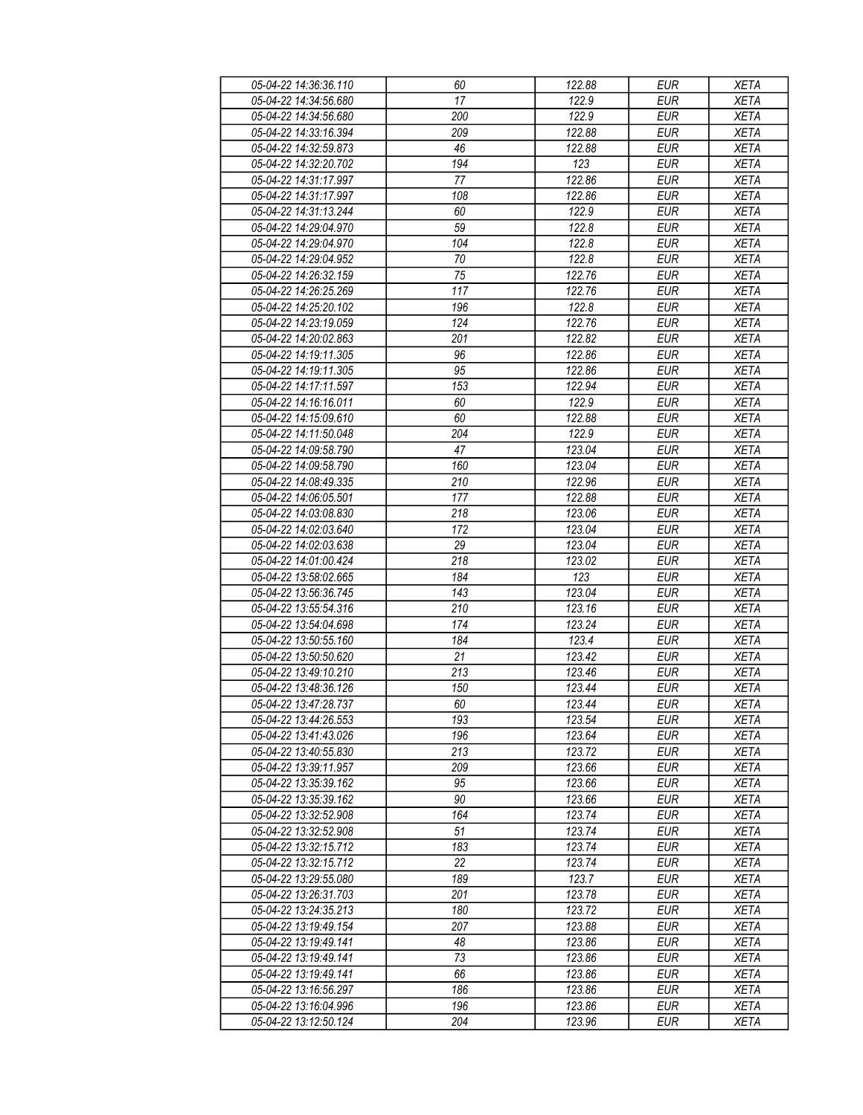| 05-04-22 14:36:36.110 | 60  | 122.88 | <b>EUR</b> | <b>XETA</b> |
|-----------------------|-----|--------|------------|-------------|
| 05-04-22 14:34:56.680 | 17  | 122.9  | <b>EUR</b> | <b>XETA</b> |
| 05-04-22 14:34:56.680 | 200 | 122.9  | <b>EUR</b> | <b>XETA</b> |
| 05-04-22 14:33:16.394 | 209 | 122.88 | <b>EUR</b> | <b>XETA</b> |
| 05-04-22 14:32:59.873 | 46  | 122.88 | <b>EUR</b> | <b>XETA</b> |
| 05-04-22 14:32:20.702 | 194 | 123    | <b>EUR</b> | <b>XETA</b> |
| 05-04-22 14:31:17.997 |     | 122.86 | <b>EUR</b> |             |
|                       | 77  |        |            | <b>XETA</b> |
| 05-04-22 14:31:17.997 | 108 | 122.86 | EUR        | <b>XETA</b> |
| 05-04-22 14:31:13.244 | 60  | 122.9  | <b>EUR</b> | <b>XETA</b> |
| 05-04-22 14:29:04.970 | 59  | 122.8  | <b>EUR</b> | <b>XETA</b> |
| 05-04-22 14:29:04.970 | 104 | 122.8  | <b>EUR</b> | <b>XETA</b> |
| 05-04-22 14:29:04.952 | 70  | 122.8  | <b>EUR</b> | <b>XETA</b> |
| 05-04-22 14:26:32.159 | 75  | 122.76 | <b>EUR</b> | <b>XETA</b> |
| 05-04-22 14:26:25.269 | 117 | 122.76 | <b>EUR</b> | <b>XETA</b> |
| 05-04-22 14:25:20.102 | 196 | 122.8  | <b>EUR</b> | <b>XETA</b> |
| 05-04-22 14:23:19.059 | 124 | 122.76 | <b>EUR</b> | <b>XETA</b> |
| 05-04-22 14:20:02.863 | 201 | 122.82 | <b>EUR</b> | <b>XETA</b> |
| 05-04-22 14:19:11.305 | 96  | 122.86 | <b>EUR</b> | <b>XETA</b> |
| 05-04-22 14:19:11.305 | 95  | 122.86 | <b>EUR</b> | <b>XETA</b> |
| 05-04-22 14:17:11.597 | 153 | 122.94 | <b>EUR</b> | <b>XETA</b> |
| 05-04-22 14:16:16.011 | 60  | 122.9  | <b>EUR</b> | <b>XETA</b> |
| 05-04-22 14:15:09.610 | 60  | 122.88 | <b>EUR</b> | <b>XETA</b> |
|                       |     | 122.9  |            | <b>XETA</b> |
| 05-04-22 14:11:50.048 | 204 |        | <b>EUR</b> |             |
| 05-04-22 14:09:58.790 | 47  | 123.04 | <b>EUR</b> | <b>XETA</b> |
| 05-04-22 14:09:58.790 | 160 | 123.04 | <b>EUR</b> | <b>XETA</b> |
| 05-04-22 14:08:49.335 | 210 | 122.96 | <b>EUR</b> | <b>XETA</b> |
| 05-04-22 14:06:05.501 | 177 | 122.88 | <b>EUR</b> | <b>XETA</b> |
| 05-04-22 14:03:08.830 | 218 | 123.06 | <b>EUR</b> | <b>XETA</b> |
| 05-04-22 14:02:03.640 | 172 | 123.04 | <b>EUR</b> | <b>XETA</b> |
| 05-04-22 14:02:03.638 | 29  | 123.04 | <b>EUR</b> | <b>XETA</b> |
| 05-04-22 14:01:00.424 | 218 | 123.02 | <b>EUR</b> | <b>XETA</b> |
| 05-04-22 13:58:02.665 | 184 | 123    | <b>EUR</b> | <b>XETA</b> |
| 05-04-22 13:56:36.745 | 143 | 123.04 | EUR        | <b>XETA</b> |
| 05-04-22 13:55:54.316 | 210 | 123.16 | <b>EUR</b> | <b>XETA</b> |
| 05-04-22 13:54:04.698 | 174 | 123.24 | <b>EUR</b> | <b>XETA</b> |
| 05-04-22 13:50:55.160 | 184 | 123.4  | <b>EUR</b> | <b>XETA</b> |
| 05-04-22 13:50:50.620 | 21  | 123.42 | <b>EUR</b> | <b>XETA</b> |
| 05-04-22 13:49:10.210 | 213 | 123.46 | <b>EUR</b> | <b>XETA</b> |
| 05-04-22 13:48:36.126 | 150 | 123.44 | <b>EUR</b> | <b>XETA</b> |
| 05-04-22 13:47:28.737 | 60  | 123.44 | <b>EUR</b> | <b>XETA</b> |
| 05-04-22 13:44:26.553 | 193 | 123.54 | EUR        | XETA        |
| 05-04-22 13:41:43.026 | 196 | 123.64 | <b>EUR</b> |             |
|                       |     |        |            | <b>XETA</b> |
| 05-04-22 13:40:55.830 | 213 | 123.72 | <b>EUR</b> | <b>XETA</b> |
| 05-04-22 13:39:11.957 | 209 | 123.66 | <b>EUR</b> | <b>XETA</b> |
| 05-04-22 13:35:39.162 | 95  | 123.66 | EUR        | <b>XETA</b> |
| 05-04-22 13:35:39.162 | 90  | 123.66 | <b>EUR</b> | <b>XETA</b> |
| 05-04-22 13:32:52.908 | 164 | 123.74 | <b>EUR</b> | <b>XETA</b> |
| 05-04-22 13:32:52.908 | 51  | 123.74 | <b>EUR</b> | <b>XETA</b> |
| 05-04-22 13:32:15.712 | 183 | 123.74 | <b>EUR</b> | <b>XETA</b> |
| 05-04-22 13:32:15.712 | 22  | 123.74 | EUR        | <b>XETA</b> |
| 05-04-22 13:29:55.080 | 189 | 123.7  | <b>EUR</b> | <b>XETA</b> |
| 05-04-22 13:26:31.703 | 201 | 123.78 | EUR        | <b>XETA</b> |
| 05-04-22 13:24:35.213 | 180 | 123.72 | <b>EUR</b> | <b>XETA</b> |
| 05-04-22 13:19:49.154 | 207 | 123.88 | EUR        | <b>XETA</b> |
| 05-04-22 13:19:49.141 | 48  | 123.86 | EUR        | <b>XETA</b> |
| 05-04-22 13:19:49.141 | 73  | 123.86 | <b>EUR</b> | <b>XETA</b> |
| 05-04-22 13:19:49.141 | 66  | 123.86 | <b>EUR</b> | <b>XETA</b> |
| 05-04-22 13:16:56.297 | 186 | 123.86 | EUR        | XETA        |
| 05-04-22 13:16:04.996 | 196 | 123.86 | EUR        | <b>XETA</b> |
|                       | 204 |        |            |             |
| 05-04-22 13:12:50.124 |     | 123.96 | EUR        | XETA        |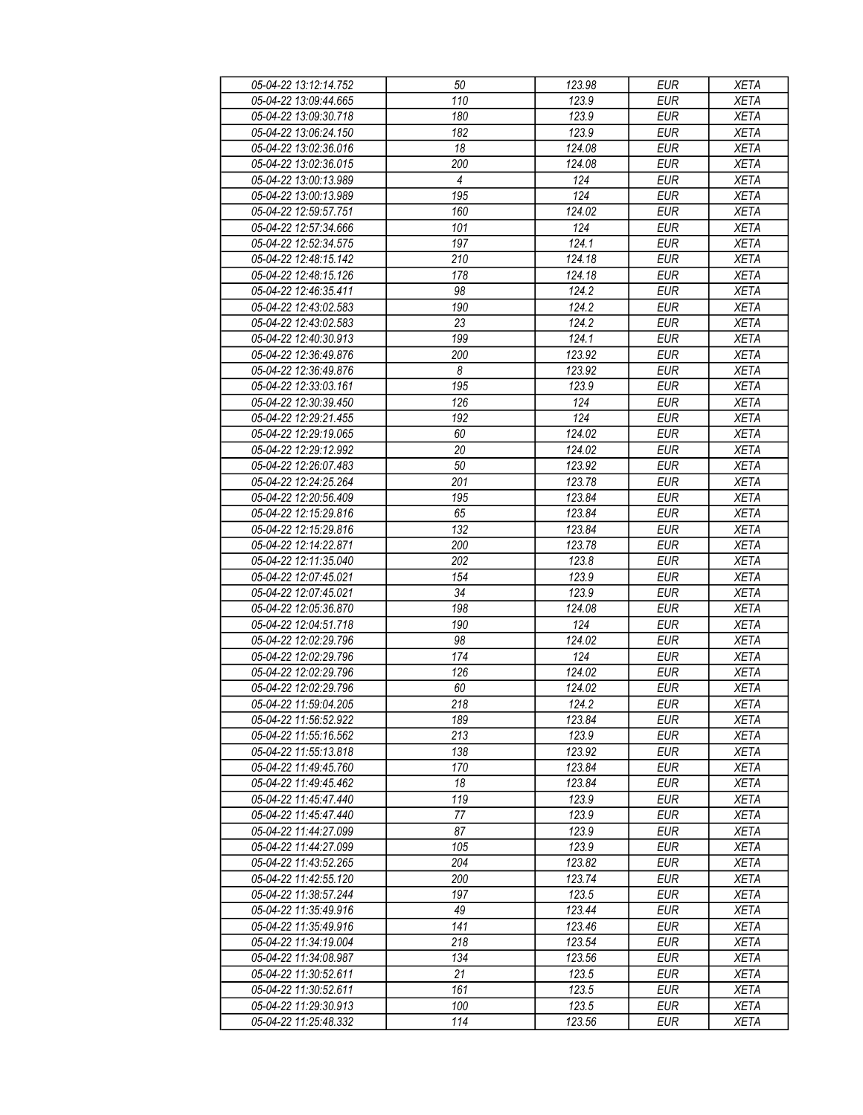| 05-04-22 13:12:14.752 | 50             | 123.98 | <b>EUR</b> | <b>XETA</b> |
|-----------------------|----------------|--------|------------|-------------|
| 05-04-22 13:09:44.665 | 110            | 123.9  | <b>EUR</b> | <b>XETA</b> |
| 05-04-22 13:09:30.718 | 180            | 123.9  | <b>EUR</b> | <b>XETA</b> |
| 05-04-22 13:06:24.150 | 182            | 123.9  | <b>EUR</b> | <b>XETA</b> |
| 05-04-22 13:02:36.016 | 18             | 124.08 | <b>EUR</b> | <b>XETA</b> |
| 05-04-22 13:02:36.015 | 200            | 124.08 | <b>EUR</b> | <b>XETA</b> |
|                       |                | 124    | <b>EUR</b> |             |
| 05-04-22 13:00:13.989 | 4              |        |            | <b>XETA</b> |
| 05-04-22 13:00:13.989 | 195            | 124    | <b>EUR</b> | <b>XETA</b> |
| 05-04-22 12:59:57.751 | 160            | 124.02 | <b>EUR</b> | <b>XETA</b> |
| 05-04-22 12:57:34.666 | 101            | 124    | <b>EUR</b> | <b>XETA</b> |
| 05-04-22 12:52:34.575 | 197            | 124.1  | <b>EUR</b> | <b>XETA</b> |
| 05-04-22 12:48:15.142 | 210            | 124.18 | <b>EUR</b> | <b>XETA</b> |
| 05-04-22 12:48:15.126 | 178            | 124.18 | <b>EUR</b> | <b>XETA</b> |
| 05-04-22 12:46:35.411 | 98             | 124.2  | <b>EUR</b> | <b>XETA</b> |
| 05-04-22 12:43:02.583 | 190            | 124.2  | <b>EUR</b> | <b>XETA</b> |
| 05-04-22 12:43:02.583 | 23             | 124.2  | <b>EUR</b> | <b>XETA</b> |
| 05-04-22 12:40:30.913 | 199            | 124.1  | <b>EUR</b> | <b>XETA</b> |
| 05-04-22 12:36:49.876 | 200            | 123.92 | <b>EUR</b> | <b>XETA</b> |
| 05-04-22 12:36:49.876 | $\overline{8}$ | 123.92 | <b>EUR</b> | <b>XETA</b> |
| 05-04-22 12:33:03.161 | 195            | 123.9  | <b>EUR</b> | <b>XETA</b> |
| 05-04-22 12:30:39.450 | 126            | 124    | <b>EUR</b> | <b>XETA</b> |
| 05-04-22 12:29:21.455 | 192            | 124    | <b>EUR</b> | <b>XETA</b> |
| 05-04-22 12:29:19.065 | 60             | 124.02 | <b>EUR</b> | <b>XETA</b> |
|                       |                |        |            |             |
| 05-04-22 12:29:12.992 | 20             | 124.02 | <b>EUR</b> | <b>XETA</b> |
| 05-04-22 12:26:07.483 | 50             | 123.92 | <b>EUR</b> | <b>XETA</b> |
| 05-04-22 12:24:25.264 | 201            | 123.78 | <b>EUR</b> | <b>XETA</b> |
| 05-04-22 12:20:56.409 | 195            | 123.84 | <b>EUR</b> | <b>XETA</b> |
| 05-04-22 12:15:29.816 | 65             | 123.84 | <b>EUR</b> | <b>XETA</b> |
| 05-04-22 12:15:29.816 | 132            | 123.84 | <b>EUR</b> | <b>XETA</b> |
| 05-04-22 12:14:22.871 | 200            | 123.78 | <b>EUR</b> | <b>XETA</b> |
| 05-04-22 12:11:35.040 | 202            | 123.8  | <b>EUR</b> | <b>XETA</b> |
| 05-04-22 12:07:45.021 | 154            | 123.9  | <b>EUR</b> | <b>XETA</b> |
| 05-04-22 12:07:45.021 | 34             | 123.9  | <b>EUR</b> | <b>XETA</b> |
| 05-04-22 12:05:36.870 | 198            | 124.08 | <b>EUR</b> | <b>XETA</b> |
| 05-04-22 12:04:51.718 | 190            | 124    | <b>EUR</b> | <b>XETA</b> |
| 05-04-22 12:02:29.796 | 98             | 124.02 | <b>EUR</b> | <b>XETA</b> |
| 05-04-22 12:02:29.796 | 174            | 124    | <b>EUR</b> | <b>XETA</b> |
| 05-04-22 12:02:29.796 | 126            | 124.02 | <b>EUR</b> | <b>XETA</b> |
| 05-04-22 12:02:29.796 | 60             | 124.02 | <b>EUR</b> | <b>XETA</b> |
| 05-04-22 11:59:04.205 | 218            | 124.2  | <b>EUR</b> | <b>XETA</b> |
|                       |                | 123.84 |            |             |
| 05-04-22 11:56:52.922 | 189            |        | EUR        | XETA        |
| 05-04-22 11:55:16.562 | 213            | 123.9  | <b>EUR</b> | <b>XETA</b> |
| 05-04-22 11:55:13.818 | 138            | 123.92 | <b>EUR</b> | <b>XETA</b> |
| 05-04-22 11:49:45.760 | 170            | 123.84 | <b>EUR</b> | <b>XETA</b> |
| 05-04-22 11:49:45.462 | 18             | 123.84 | EUR        | <b>XETA</b> |
| 05-04-22 11:45:47.440 | 119            | 123.9  | <b>EUR</b> | <b>XETA</b> |
| 05-04-22 11:45:47.440 | 77             | 123.9  | <b>EUR</b> | <b>XETA</b> |
| 05-04-22 11:44:27.099 | 87             | 123.9  | <b>EUR</b> | <b>XETA</b> |
| 05-04-22 11:44:27.099 | 105            | 123.9  | <b>EUR</b> | <b>XETA</b> |
| 05-04-22 11:43:52.265 | 204            | 123.82 | EUR        | <b>XETA</b> |
| 05-04-22 11:42:55.120 | 200            | 123.74 | <b>EUR</b> | <b>XETA</b> |
| 05-04-22 11:38:57.244 | 197            | 123.5  | <b>EUR</b> | <b>XETA</b> |
| 05-04-22 11:35:49.916 | 49             | 123.44 | <b>EUR</b> | <b>XETA</b> |
| 05-04-22 11:35:49.916 | 141            | 123.46 | <b>EUR</b> | <b>XETA</b> |
| 05-04-22 11:34:19.004 | 218            | 123.54 | <b>EUR</b> | <b>XETA</b> |
| 05-04-22 11:34:08.987 | 134            | 123.56 | <b>EUR</b> | <b>XETA</b> |
| 05-04-22 11:30:52.611 | 21             | 123.5  | <b>EUR</b> | <b>XETA</b> |
| 05-04-22 11:30:52.611 | 161            | 123.5  | EUR        | XETA        |
| 05-04-22 11:29:30.913 | 100            | 123.5  | EUR        | <b>XETA</b> |
|                       |                |        |            |             |
| 05-04-22 11:25:48.332 | 114            | 123.56 | EUR        | <b>XETA</b> |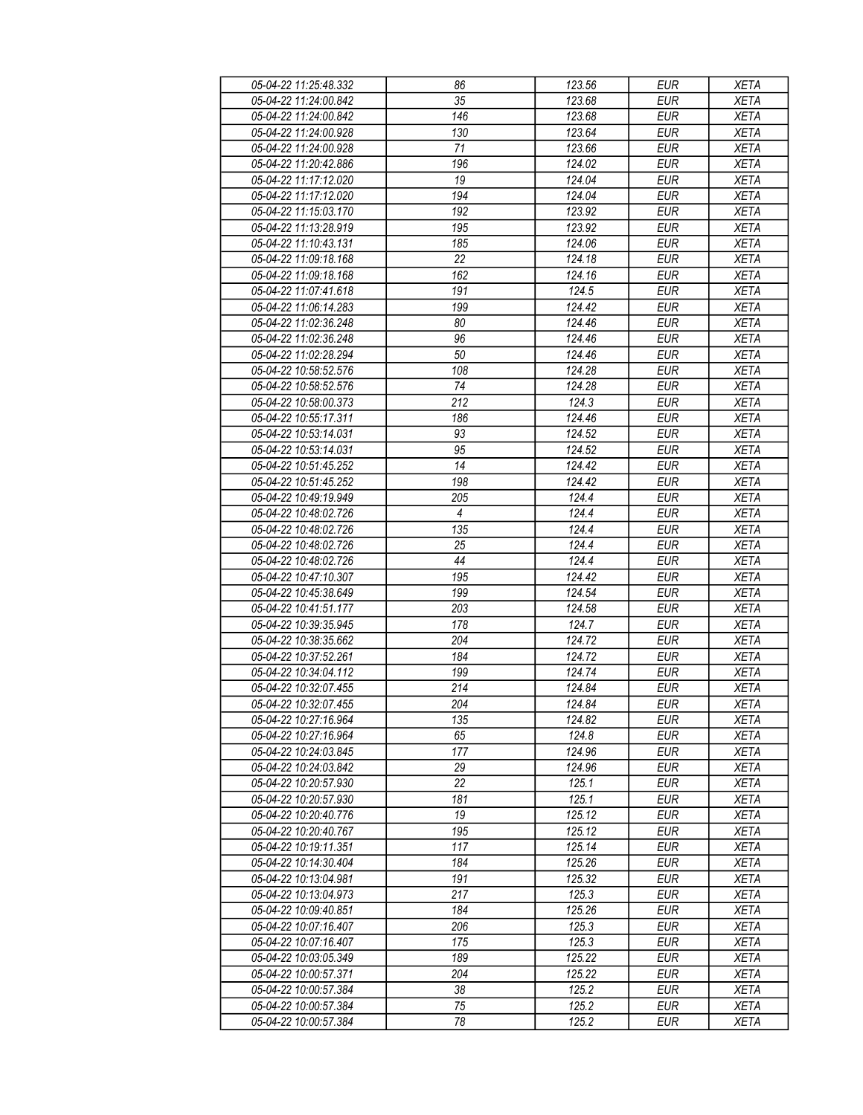| 05-04-22 11:25:48.332 | 86               | 123.56 | <b>EUR</b> | <b>XETA</b> |
|-----------------------|------------------|--------|------------|-------------|
| 05-04-22 11:24:00.842 | 35               | 123.68 | <b>EUR</b> | <b>XETA</b> |
| 05-04-22 11:24:00.842 | $\overline{146}$ | 123.68 | <b>EUR</b> | <b>XETA</b> |
| 05-04-22 11:24:00.928 | 130              | 123.64 | <b>EUR</b> | <b>XETA</b> |
| 05-04-22 11:24:00.928 | 71               | 123.66 | <b>EUR</b> | <b>XETA</b> |
| 05-04-22 11:20:42.886 | 196              | 124.02 | <b>EUR</b> | <b>XETA</b> |
| 05-04-22 11:17:12.020 |                  |        | <b>EUR</b> | <b>XETA</b> |
|                       | 19               | 124.04 |            |             |
| 05-04-22 11:17:12.020 | 194              | 124.04 | <b>EUR</b> | <b>XETA</b> |
| 05-04-22 11:15:03.170 | 192              | 123.92 | <b>EUR</b> | <b>XETA</b> |
| 05-04-22 11:13:28.919 | 195              | 123.92 | <b>EUR</b> | <b>XETA</b> |
| 05-04-22 11:10:43.131 | 185              | 124.06 | <b>EUR</b> | <b>XETA</b> |
| 05-04-22 11:09:18.168 | 22               | 124.18 | <b>EUR</b> | <b>XETA</b> |
| 05-04-22 11:09:18.168 | 162              | 124.16 | <b>EUR</b> | <b>XETA</b> |
| 05-04-22 11:07:41.618 | 191              | 124.5  | <b>EUR</b> | <b>XETA</b> |
| 05-04-22 11:06:14.283 | 199              | 124.42 | <b>EUR</b> | <b>XETA</b> |
| 05-04-22 11:02:36.248 | 80               | 124.46 | <b>EUR</b> | <b>XETA</b> |
| 05-04-22 11:02:36.248 | 96               | 124.46 | <b>EUR</b> | <b>XETA</b> |
| 05-04-22 11:02:28.294 | 50               | 124.46 | <b>EUR</b> | <b>XETA</b> |
| 05-04-22 10:58:52.576 | 108              | 124.28 | <b>EUR</b> | <b>XETA</b> |
| 05-04-22 10:58:52.576 | 74               | 124.28 | <b>EUR</b> | <b>XETA</b> |
| 05-04-22 10:58:00.373 | 212              | 124.3  | <b>EUR</b> | <b>XETA</b> |
| 05-04-22 10:55:17.311 | 186              | 124.46 | <b>EUR</b> | <b>XETA</b> |
| 05-04-22 10:53:14.031 | 93               | 124.52 | <b>EUR</b> | <b>XETA</b> |
| 05-04-22 10:53:14.031 | 95               | 124.52 | <b>EUR</b> | <b>XETA</b> |
| 05-04-22 10:51:45.252 | 14               | 124.42 | <b>EUR</b> | <b>XETA</b> |
| 05-04-22 10:51:45.252 | 198              | 124.42 | <b>EUR</b> | <b>XETA</b> |
| 05-04-22 10:49:19.949 | 205              | 124.4  | <b>EUR</b> | <b>XETA</b> |
|                       |                  |        |            |             |
| 05-04-22 10:48:02.726 | $\overline{4}$   | 124.4  | <b>EUR</b> | <b>XETA</b> |
| 05-04-22 10:48:02.726 | 135              | 124.4  | <b>EUR</b> | <b>XETA</b> |
| 05-04-22 10:48:02.726 | 25               | 124.4  | <b>EUR</b> | <b>XETA</b> |
| 05-04-22 10:48:02.726 | 44               | 124.4  | <b>EUR</b> | <b>XETA</b> |
| 05-04-22 10:47:10.307 | 195              | 124.42 | <b>EUR</b> | <b>XETA</b> |
| 05-04-22 10:45:38.649 | 199              | 124.54 | <b>EUR</b> | <b>XETA</b> |
| 05-04-22 10:41:51.177 | 203              | 124.58 | <b>EUR</b> | <b>XETA</b> |
| 05-04-22 10:39:35.945 | 178              | 124.7  | <b>EUR</b> | <b>XETA</b> |
| 05-04-22 10:38:35.662 | 204              | 124.72 | <b>EUR</b> | <b>XETA</b> |
| 05-04-22 10:37:52.261 | 184              | 124.72 | <b>EUR</b> | <b>XETA</b> |
| 05-04-22 10:34:04.112 | 199              | 124.74 | <b>EUR</b> | <b>XETA</b> |
| 05-04-22 10:32:07.455 | 214              | 124.84 | <b>EUR</b> | <b>XETA</b> |
| 05-04-22 10:32:07.455 | 204              | 124.84 | <b>EUR</b> | <b>XETA</b> |
| 05-04-22 10:27:16.964 | 135              | 124.82 | EUR        | XETA        |
| 05-04-22 10:27:16.964 | 65               | 124.8  | <b>EUR</b> | <b>XETA</b> |
| 05-04-22 10:24:03.845 | 177              | 124.96 | <b>EUR</b> | <b>XETA</b> |
| 05-04-22 10:24:03.842 | 29               | 124.96 | <b>EUR</b> | <b>XETA</b> |
| 05-04-22 10:20:57.930 | 22               | 125.1  | EUR        | <b>XETA</b> |
| 05-04-22 10:20:57.930 | 181              | 125.1  | <b>EUR</b> | <b>XETA</b> |
| 05-04-22 10:20:40.776 | 19               | 125.12 | <b>EUR</b> | <b>XETA</b> |
| 05-04-22 10:20:40.767 | 195              | 125.12 | <b>EUR</b> | <b>XETA</b> |
| 05-04-22 10:19:11.351 | 117              | 125.14 | <b>EUR</b> | <b>XETA</b> |
| 05-04-22 10:14:30.404 | 184              | 125.26 | EUR        |             |
| 05-04-22 10:13:04.981 |                  |        |            | <b>XETA</b> |
|                       | 191              | 125.32 | <b>EUR</b> | <b>XETA</b> |
| 05-04-22 10:13:04.973 | 217              | 125.3  | <b>EUR</b> | <b>XETA</b> |
| 05-04-22 10:09:40.851 | 184              | 125.26 | <b>EUR</b> | <b>XETA</b> |
| 05-04-22 10:07:16.407 | 206              | 125.3  | <b>EUR</b> | <b>XETA</b> |
| 05-04-22 10:07:16.407 | 175              | 125.3  | <b>EUR</b> | <b>XETA</b> |
| 05-04-22 10:03:05.349 | 189              | 125.22 | <b>EUR</b> | <b>XETA</b> |
| 05-04-22 10:00:57.371 | 204              | 125.22 | <b>EUR</b> | <b>XETA</b> |
| 05-04-22 10:00:57.384 | 38               | 125.2  | EUR        | XETA        |
| 05-04-22 10:00:57.384 | 75               | 125.2  | EUR        | <b>XETA</b> |
| 05-04-22 10:00:57.384 | 78               | 125.2  | EUR        | XETA        |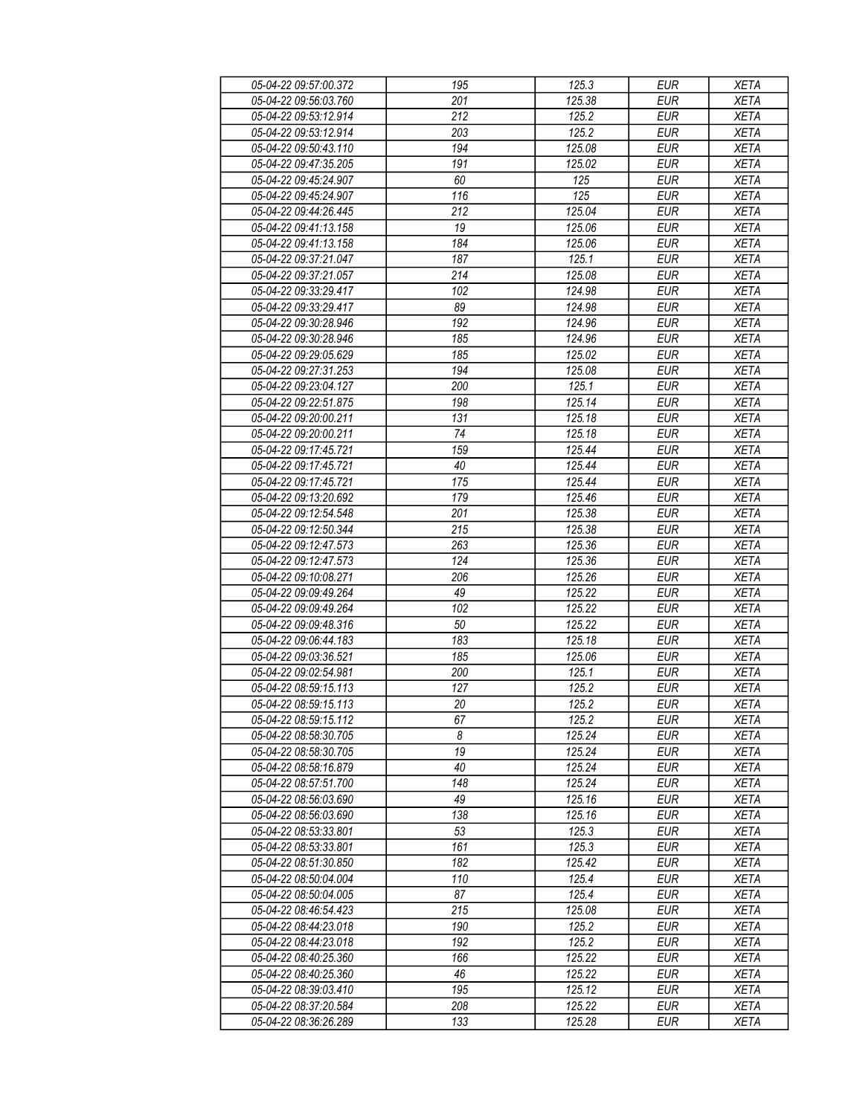| 05-04-22 09:57:00.372                          | 195              | 125.3                         | <b>EUR</b>               | <b>XETA</b> |
|------------------------------------------------|------------------|-------------------------------|--------------------------|-------------|
| 05-04-22 09:56:03.760                          | 201              | $\overline{125.38}$           | <b>EUR</b>               | <b>XETA</b> |
| 05-04-22 09:53:12.914                          | $\overline{212}$ | 125.2                         | <b>EUR</b>               | <b>XETA</b> |
| 05-04-22 09:53:12.914                          | 203              | 125.2                         | <b>EUR</b>               | <b>XETA</b> |
| 05-04-22 09:50:43.110                          | 194              | 125.08                        | <b>EUR</b>               | <b>XETA</b> |
| 05-04-22 09:47:35.205                          | 191              | 125.02                        | <b>EUR</b>               | <b>XETA</b> |
| 05-04-22 09:45:24.907                          | 60               | 125                           | <b>EUR</b>               | <b>XETA</b> |
| 05-04-22 09:45:24.907                          | 116              | 125                           | <b>EUR</b>               | <b>XETA</b> |
|                                                |                  |                               |                          |             |
| 05-04-22 09:44:26.445                          | 212              | 125.04                        | <b>EUR</b>               | <b>XETA</b> |
| 05-04-22 09:41:13.158                          | 19               | 125.06                        | <b>EUR</b>               | <b>XETA</b> |
| 05-04-22 09:41:13.158                          | 184              | 125.06                        | <b>EUR</b>               | <b>XETA</b> |
| 05-04-22 09:37:21.047                          | 187              | 125.1                         | <b>EUR</b>               | <b>XETA</b> |
| 05-04-22 09:37:21.057                          | 214              | 125.08                        | <b>EUR</b>               | <b>XETA</b> |
| 05-04-22 09:33:29.417                          | 102              | 124.98                        | <b>EUR</b>               | <b>XETA</b> |
| 05-04-22 09:33:29.417                          | 89               | 124.98                        | <b>EUR</b>               | <b>XETA</b> |
| 05-04-22 09:30:28.946                          | 192              | 124.96                        | <b>EUR</b>               | <b>XETA</b> |
| 05-04-22 09:30:28.946                          | 185              | 124.96                        | <b>EUR</b>               | <b>XETA</b> |
| 05-04-22 09:29:05.629                          | 185              | 125.02                        | <b>EUR</b>               | <b>XETA</b> |
| 05-04-22 09:27:31.253                          | 194              | 125.08                        | <b>EUR</b>               | <b>XETA</b> |
| 05-04-22 09:23:04.127                          | 200              | 125.1                         | <b>EUR</b>               | <b>XETA</b> |
| 05-04-22 09:22:51.875                          | 198              | 125.14                        | <b>EUR</b>               | <b>XETA</b> |
| 05-04-22 09:20:00.211                          | 131              | 125.18                        | <b>EUR</b>               | <b>XETA</b> |
| 05-04-22 09:20:00.211                          | 74               | 125.18                        | <b>EUR</b>               | <b>XETA</b> |
| 05-04-22 09:17:45.721                          | 159              | 125.44                        | <b>EUR</b>               | <b>XETA</b> |
| 05-04-22 09:17:45.721                          | 40               | 125.44                        | <b>EUR</b>               | <b>XETA</b> |
| 05-04-22 09:17:45.721                          | 175              | 125.44                        | <b>EUR</b>               | <b>XETA</b> |
| 05-04-22 09:13:20.692                          | 179              | 125.46                        | <b>EUR</b>               | <b>XETA</b> |
| 05-04-22 09:12:54.548                          | 201              | 125.38                        | <b>EUR</b>               | <b>XETA</b> |
| 05-04-22 09:12:50.344                          | 215              | 125.38                        | <b>EUR</b>               | <b>XETA</b> |
| 05-04-22 09:12:47.573                          | 263              | 125.36                        | <b>EUR</b>               | <b>XETA</b> |
| 05-04-22 09:12:47.573                          | 124              | 125.36                        | <b>EUR</b>               | <b>XETA</b> |
| 05-04-22 09:10:08.271                          | 206              | 125.26                        | <b>EUR</b>               | <b>XETA</b> |
| 05-04-22 09:09:49.264                          | 49               | 125.22                        | <b>EUR</b>               | <b>XETA</b> |
| 05-04-22 09:09:49.264                          | 102              | 125.22                        | <b>EUR</b>               | <b>XETA</b> |
| 05-04-22 09:09:48.316                          | $50\,$           | 125.22                        | <b>EUR</b>               | <b>XETA</b> |
| 05-04-22 09:06:44.183                          | 183              | 125.18                        | <b>EUR</b>               | <b>XETA</b> |
| 05-04-22 09:03:36.521                          | 185              | 125.06                        | <b>EUR</b>               | <b>XETA</b> |
| 05-04-22 09:02:54.981                          | 200              | 125.1                         | <b>EUR</b>               | <b>XETA</b> |
| 05-04-22 08:59:15.113                          | 127              | 125.2                         | <b>EUR</b>               | <b>XETA</b> |
| 05-04-22 08:59:15.113                          | 20               | 125.2                         | <b>EUR</b>               | <b>XETA</b> |
| 05-04-22 08:59:15.112                          | 67               | 125.2                         | EUR                      | XETA        |
| 05-04-22 08:58:30.705                          | 8                | 125.24                        | <b>EUR</b>               |             |
|                                                |                  |                               |                          | <b>XETA</b> |
| 05-04-22 08:58:30.705                          | 19<br>40         | 125.24<br>$\overline{125.24}$ | <b>EUR</b>               | <b>XETA</b> |
| 05-04-22 08:58:16.879<br>05-04-22 08:57:51.700 | 148              |                               | <b>EUR</b><br><b>EUR</b> | <b>XETA</b> |
|                                                |                  | 125.24                        |                          | <b>XETA</b> |
| 05-04-22 08:56:03.690                          | 49               | 125.16                        | <b>EUR</b>               | <b>XETA</b> |
| 05-04-22 08:56:03.690                          | 138              | 125.16                        | <b>EUR</b>               | <b>XETA</b> |
| 05-04-22 08:53:33.801                          | 53               | 125.3                         | <b>EUR</b>               | <b>XETA</b> |
| 05-04-22 08:53:33.801                          | 161              | 125.3                         | <b>EUR</b>               | <b>XETA</b> |
| 05-04-22 08:51:30.850                          | 182              | 125.42                        | <b>EUR</b>               | <b>XETA</b> |
| 05-04-22 08:50:04.004                          | 110              | 125.4                         | <b>EUR</b>               | <b>XETA</b> |
| 05-04-22 08:50:04.005                          | 87               | 125.4                         | <b>EUR</b>               | <b>XETA</b> |
| 05-04-22 08:46:54.423                          | 215              | 125.08                        | <b>EUR</b>               | <b>XETA</b> |
| 05-04-22 08:44:23.018                          | 190              | 125.2                         | <b>EUR</b>               | <b>XETA</b> |
| 05-04-22 08:44:23.018                          | 192              | 125.2                         | <b>EUR</b>               | <b>XETA</b> |
| 05-04-22 08:40:25.360                          | 166              | 125.22                        | <b>EUR</b>               | <b>XETA</b> |
| 05-04-22 08:40:25.360                          | 46               | 125.22                        | <b>EUR</b>               | <b>XETA</b> |
| 05-04-22 08:39:03.410                          | 195              | 125.12                        | EUR                      | XETA        |
| 05-04-22 08:37:20.584                          | 208              | 125.22                        | EUR                      | <b>XETA</b> |
| 05-04-22 08:36:26.289                          | 133              | 125.28                        | EUR                      | XETA        |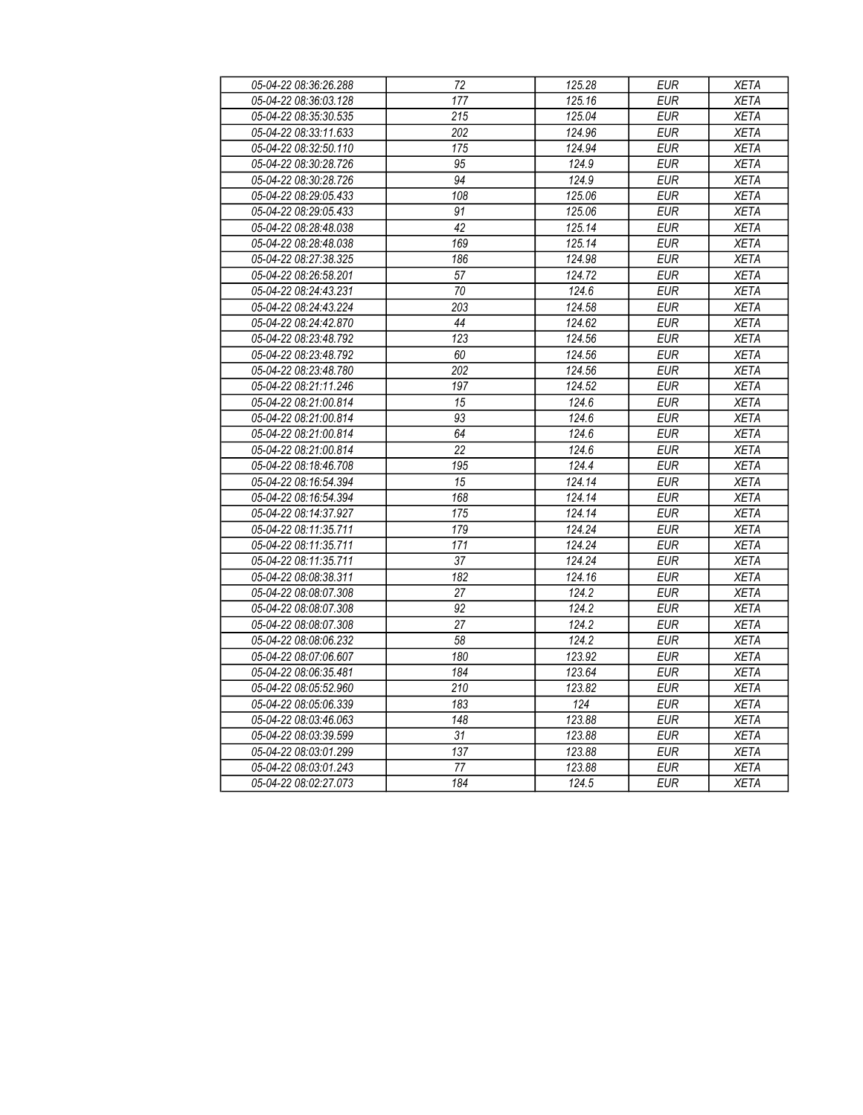| 05-04-22 08:36:26.288 | 72               | 125.28 | <b>EUR</b> | <b>XETA</b> |
|-----------------------|------------------|--------|------------|-------------|
| 05-04-22 08:36:03.128 | 177              | 125.16 | EUR        | <b>XETA</b> |
| 05-04-22 08:35:30.535 | 215              | 125.04 | <b>EUR</b> | <b>XETA</b> |
| 05-04-22 08:33:11.633 | $\overline{202}$ | 124.96 | <b>EUR</b> | <b>XETA</b> |
| 05-04-22 08:32:50.110 | 175              | 124.94 | <b>EUR</b> | <b>XETA</b> |
| 05-04-22 08:30:28.726 | 95               | 124.9  | <b>EUR</b> | <b>XETA</b> |
| 05-04-22 08:30:28.726 | 94               | 124.9  | <b>EUR</b> | <b>XETA</b> |
| 05-04-22 08:29:05.433 | 108              | 125.06 | <b>EUR</b> | <b>XETA</b> |
| 05-04-22 08:29:05.433 | 91               | 125.06 | <b>EUR</b> | <b>XETA</b> |
| 05-04-22 08:28:48.038 | 42               | 125.14 | <b>EUR</b> | <b>XETA</b> |
| 05-04-22 08:28:48.038 | 169              | 125.14 | <b>EUR</b> | <b>XETA</b> |
| 05-04-22 08:27:38.325 | 186              | 124.98 | EUR        | <b>XETA</b> |
| 05-04-22 08:26:58.201 | $\overline{57}$  | 124.72 | <b>EUR</b> | <b>XETA</b> |
| 05-04-22 08:24:43.231 | $\overline{70}$  | 124.6  | <b>EUR</b> | <b>XETA</b> |
| 05-04-22 08:24:43.224 | 203              | 124.58 | <b>EUR</b> | <b>XETA</b> |
| 05-04-22 08:24:42.870 | $\overline{44}$  | 124.62 | <b>EUR</b> | <b>XETA</b> |
| 05-04-22 08:23:48.792 | 123              | 124.56 | EUR        | <b>XETA</b> |
| 05-04-22 08:23:48.792 | 60               | 124.56 | <b>EUR</b> | <b>XETA</b> |
| 05-04-22 08:23:48.780 | $\overline{202}$ | 124.56 | <b>EUR</b> | <b>XETA</b> |
| 05-04-22 08:21:11.246 | 197              | 124.52 | <b>EUR</b> | <b>XETA</b> |
| 05-04-22 08:21:00.814 | 15               | 124.6  | <b>EUR</b> | <b>XETA</b> |
| 05-04-22 08:21:00.814 | 93               | 124.6  | <b>EUR</b> | <b>XETA</b> |
| 05-04-22 08:21:00.814 | 64               | 124.6  | <b>EUR</b> | <b>XETA</b> |
| 05-04-22 08:21:00.814 | 22               | 124.6  | <b>EUR</b> | <b>XETA</b> |
| 05-04-22 08:18:46.708 | $\overline{195}$ | 124.4  | <b>EUR</b> | <b>XETA</b> |
| 05-04-22 08:16:54.394 | 15               | 124.14 | <b>EUR</b> | <b>XETA</b> |
| 05-04-22 08:16:54.394 | 168              | 124.14 | <b>EUR</b> | <b>XETA</b> |
| 05-04-22 08:14:37.927 | 175              | 124.14 | <b>EUR</b> | <b>XETA</b> |
| 05-04-22 08:11:35.711 | 179              | 124.24 | EUR        | <b>XETA</b> |
| 05-04-22 08:11:35.711 | 171              | 124.24 | <b>EUR</b> | <b>XETA</b> |
| 05-04-22 08:11:35.711 | $\overline{37}$  | 124.24 | <b>EUR</b> | <b>XETA</b> |
| 05-04-22 08:08:38.311 | 182              | 124.16 | <b>EUR</b> | <b>XETA</b> |
| 05-04-22 08:08:07.308 | 27               | 124.2  | <b>EUR</b> | <b>XETA</b> |
| 05-04-22 08:08:07.308 | 92               | 124.2  | <b>EUR</b> | <b>XETA</b> |
| 05-04-22 08:08:07.308 | 27               | 124.2  | <b>EUR</b> | <b>XETA</b> |
| 05-04-22 08:08:06.232 | 58               | 124.2  | <b>EUR</b> | <b>XETA</b> |
| 05-04-22 08:07:06.607 | 180              | 123.92 | <b>EUR</b> | <b>XETA</b> |
| 05-04-22 08:06:35.481 | 184              | 123.64 | <b>EUR</b> | <b>XETA</b> |
| 05-04-22 08:05:52.960 | $\overline{210}$ | 123.82 | <b>EUR</b> | <b>XETA</b> |
| 05-04-22 08:05:06.339 | 183              | 124    | <b>EUR</b> | <b>XETA</b> |
| 05-04-22 08:03:46.063 | $\overline{148}$ | 123.88 | EUR        | <b>XETA</b> |
| 05-04-22 08:03:39.599 | 31               | 123.88 | <b>EUR</b> | <b>XETA</b> |
| 05-04-22 08:03:01.299 | 137              | 123.88 | <b>EUR</b> | <b>XETA</b> |
| 05-04-22 08:03:01.243 | 77               | 123.88 | <b>EUR</b> | <b>XETA</b> |
| 05-04-22 08:02:27.073 | 184              | 124.5  | <b>EUR</b> | <b>XETA</b> |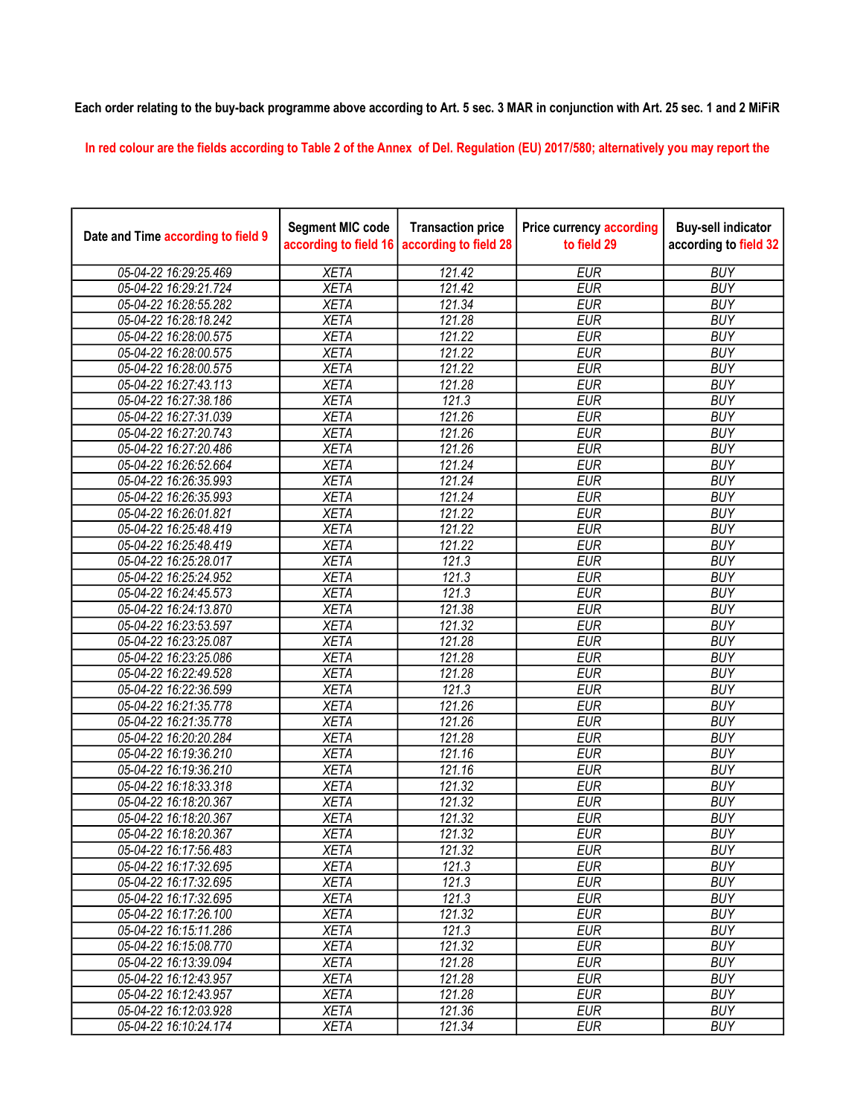## Each order relating to the buy-back programme above according to Art. 5 sec. 3 MAR in conjunction with Art. 25 sec. 1 and 2 MiFiR

In red colour are the fields according to Table 2 of the Annex of Del. Regulation (EU) 2017/580; alternatively you may report the

| Date and Time according to field 9 | <b>Segment MIC code</b><br>according to field 16 | <b>Transaction price</b><br>according to field 28 | <b>Price currency according</b><br>to field 29 | <b>Buy-sell indicator</b><br>according to field 32 |
|------------------------------------|--------------------------------------------------|---------------------------------------------------|------------------------------------------------|----------------------------------------------------|
| 05-04-22 16:29:25.469              | <b>XETA</b>                                      | 121.42                                            | <b>EUR</b>                                     | <b>BUY</b>                                         |
| 05-04-22 16:29:21.724              | <b>XETA</b>                                      | 121.42                                            | <b>EUR</b>                                     | <b>BUY</b>                                         |
| 05-04-22 16:28:55.282              | <b>XETA</b>                                      | 121.34                                            | <b>EUR</b>                                     | <b>BUY</b>                                         |
| 05-04-22 16:28:18.242              | <b>XETA</b>                                      | 121.28                                            | <b>EUR</b>                                     | <b>BUY</b>                                         |
| 05-04-22 16:28:00.575              | <b>XETA</b>                                      | 121.22                                            | <b>EUR</b>                                     | <b>BUY</b>                                         |
| 05-04-22 16:28:00.575              | <b>XETA</b>                                      | 121.22                                            | <b>EUR</b>                                     | <b>BUY</b>                                         |
| 05-04-22 16:28:00.575              | <b>XETA</b>                                      | 121.22                                            | <b>EUR</b>                                     | <b>BUY</b>                                         |
| 05-04-22 16:27:43.113              | <b>XETA</b>                                      | 121.28                                            | <b>EUR</b>                                     | <b>BUY</b>                                         |
| 05-04-22 16:27:38.186              | <b>XETA</b>                                      | 121.3                                             | <b>EUR</b>                                     | <b>BUY</b>                                         |
| 05-04-22 16:27:31.039              | <b>XETA</b>                                      | 121.26                                            | <b>EUR</b>                                     | <b>BUY</b>                                         |
| 05-04-22 16:27:20.743              | <b>XETA</b>                                      | 121.26                                            | <b>EUR</b>                                     | <b>BUY</b>                                         |
| 05-04-22 16:27:20.486              | <b>XETA</b>                                      | 121.26                                            | <b>EUR</b>                                     | <b>BUY</b>                                         |
| 05-04-22 16:26:52.664              | <b>XETA</b>                                      | 121.24                                            | <b>EUR</b>                                     | <b>BUY</b>                                         |
| 05-04-22 16:26:35.993              | <b>XETA</b>                                      | 121.24                                            | <b>EUR</b>                                     | <b>BUY</b>                                         |
| 05-04-22 16:26:35.993              | <b>XETA</b>                                      | 121.24                                            | <b>EUR</b>                                     | <b>BUY</b>                                         |
| 05-04-22 16:26:01.821              | <b>XETA</b>                                      | 121.22                                            | <b>EUR</b>                                     | <b>BUY</b>                                         |
| 05-04-22 16:25:48.419              | <b>XETA</b>                                      | 121.22                                            | <b>EUR</b>                                     | <b>BUY</b>                                         |
| 05-04-22 16:25:48.419              | <b>XETA</b>                                      | 121.22                                            | <b>EUR</b>                                     | <b>BUY</b>                                         |
| 05-04-22 16:25:28.017              | <b>XETA</b>                                      | 121.3                                             | <b>EUR</b>                                     | <b>BUY</b>                                         |
| 05-04-22 16:25:24.952              | <b>XETA</b>                                      | 121.3                                             | <b>EUR</b>                                     | <b>BUY</b>                                         |
| 05-04-22 16:24:45.573              | <b>XETA</b>                                      | 121.3                                             | <b>EUR</b>                                     | <b>BUY</b>                                         |
| 05-04-22 16:24:13.870              | <b>XETA</b>                                      | 121.38                                            | <b>EUR</b>                                     | <b>BUY</b>                                         |
| 05-04-22 16:23:53.597              | <b>XETA</b>                                      | 121.32                                            | <b>EUR</b>                                     | <b>BUY</b>                                         |
| 05-04-22 16:23:25.087              | <b>XETA</b>                                      | 121.28                                            | <b>EUR</b>                                     | <b>BUY</b>                                         |
| 05-04-22 16:23:25.086              | <b>XETA</b>                                      | 121.28                                            | <b>EUR</b>                                     | <b>BUY</b>                                         |
| 05-04-22 16:22:49.528              | <b>XETA</b>                                      | 121.28                                            | <b>EUR</b>                                     | <b>BUY</b>                                         |
| 05-04-22 16:22:36.599              | <b>XETA</b>                                      | 121.3                                             | <b>EUR</b>                                     | <b>BUY</b>                                         |
| 05-04-22 16:21:35.778              | <b>XETA</b>                                      | 121.26                                            | <b>EUR</b>                                     | <b>BUY</b>                                         |
| 05-04-22 16:21:35.778              | <b>XETA</b>                                      | 121.26                                            | <b>EUR</b>                                     | <b>BUY</b>                                         |
| 05-04-22 16:20:20.284              | <b>XETA</b>                                      | 121.28                                            | <b>EUR</b>                                     | <b>BUY</b>                                         |
| 05-04-22 16:19:36.210              | <b>XETA</b>                                      | 121.16                                            | <b>EUR</b>                                     | <b>BUY</b>                                         |
| 05-04-22 16:19:36.210              | <b>XETA</b>                                      | 121.16                                            | <b>EUR</b>                                     | <b>BUY</b>                                         |
| 05-04-22 16:18:33.318              | <b>XETA</b>                                      | 121.32                                            | <b>EUR</b>                                     | <b>BUY</b>                                         |
| 05-04-22 16:18:20.367              | <b>XETA</b>                                      | 121.32                                            | <b>EUR</b>                                     | <b>BUY</b>                                         |
| 05-04-22 16:18:20.367              | <b>XETA</b>                                      | 121.32                                            | <b>EUR</b>                                     | <b>BUY</b>                                         |
| 05-04-22 16:18:20.367              | <b>XETA</b>                                      | 121.32                                            | <b>EUR</b>                                     | <b>BUY</b>                                         |
| 05-04-22 16:17:56.483              | <b>XETA</b>                                      | 121.32                                            | <b>EUR</b>                                     | <b>BUY</b>                                         |
| 05-04-22 16:17:32.695              | <b>XETA</b>                                      | 121.3                                             | <b>EUR</b>                                     | <b>BUY</b>                                         |
| 05-04-22 16:17:32.695              | <b>XETA</b>                                      | 121.3                                             | <b>EUR</b>                                     | <b>BUY</b>                                         |
| 05-04-22 16:17:32.695              | <b>XETA</b>                                      | 121.3                                             | <b>EUR</b>                                     | <b>BUY</b>                                         |
| 05-04-22 16:17:26.100              | <b>XETA</b>                                      | 121.32                                            | <b>EUR</b>                                     | <b>BUY</b>                                         |
| 05-04-22 16:15:11.286              | <b>XETA</b>                                      | 121.3                                             | <b>EUR</b>                                     | <b>BUY</b>                                         |
| 05-04-22 16:15:08.770              | <b>XETA</b>                                      | 121.32                                            | <b>EUR</b>                                     | <b>BUY</b>                                         |
| 05-04-22 16:13:39.094              | <b>XETA</b>                                      | 121.28                                            | <b>EUR</b>                                     | <b>BUY</b>                                         |
| 05-04-22 16:12:43.957              | <b>XETA</b>                                      | 121.28                                            | <b>EUR</b>                                     | <b>BUY</b>                                         |
| 05-04-22 16:12:43.957              | <b>XETA</b>                                      | 121.28                                            | <b>EUR</b>                                     | <b>BUY</b>                                         |
| 05-04-22 16:12:03.928              | <b>XETA</b>                                      | 121.36                                            | <b>EUR</b>                                     | <b>BUY</b>                                         |
| 05-04-22 16:10:24.174              | <b>XETA</b>                                      | 121.34                                            | <b>EUR</b>                                     | <b>BUY</b>                                         |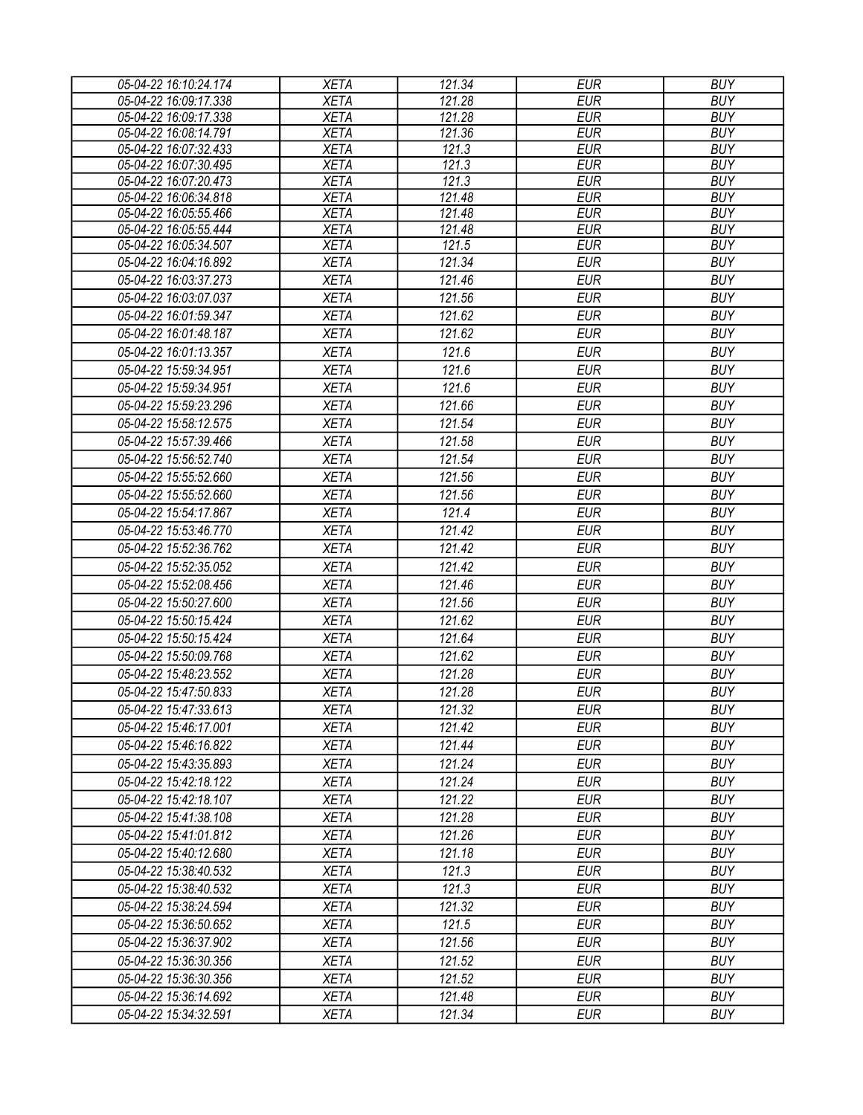| 05-04-22 16:10:24.174 | <b>XETA</b> | 121.34 | <b>EUR</b> | <b>BUY</b> |
|-----------------------|-------------|--------|------------|------------|
| 05-04-22 16:09:17.338 | <b>XETA</b> | 121.28 | <b>EUR</b> | <b>BUY</b> |
| 05-04-22 16:09:17.338 | <b>XETA</b> | 121.28 | <b>EUR</b> | <b>BUY</b> |
| 05-04-22 16:08:14.791 | <b>XETA</b> | 121.36 | <b>EUR</b> | <b>BUY</b> |
| 05-04-22 16:07:32.433 | <b>XETA</b> | 121.3  | <b>EUR</b> | <b>BUY</b> |
| 05-04-22 16:07:30.495 | <b>XETA</b> | 121.3  | <b>EUR</b> | <b>BUY</b> |
| 05-04-22 16:07:20.473 | <b>XETA</b> | 121.3  | <b>EUR</b> | <b>BUY</b> |
| 05-04-22 16:06:34.818 | <b>XETA</b> | 121.48 | <b>EUR</b> | <b>BUY</b> |
| 05-04-22 16:05:55.466 | <b>XETA</b> | 121.48 | <b>EUR</b> | <b>BUY</b> |
| 05-04-22 16:05:55.444 | <b>XETA</b> | 121.48 | <b>EUR</b> | <b>BUY</b> |
| 05-04-22 16:05:34.507 | <b>XETA</b> | 121.5  | <b>EUR</b> | <b>BUY</b> |
| 05-04-22 16:04:16.892 | <b>XETA</b> | 121.34 | <b>EUR</b> | <b>BUY</b> |
| 05-04-22 16:03:37.273 | <b>XETA</b> | 121.46 | <b>EUR</b> | <b>BUY</b> |
| 05-04-22 16:03:07.037 | <b>XETA</b> | 121.56 | <b>EUR</b> | <b>BUY</b> |
| 05-04-22 16:01:59.347 | <b>XETA</b> | 121.62 | <b>EUR</b> | <b>BUY</b> |
| 05-04-22 16:01:48.187 | <b>XETA</b> | 121.62 | <b>EUR</b> | <b>BUY</b> |
| 05-04-22 16:01:13.357 | <b>XETA</b> | 121.6  | <b>EUR</b> | <b>BUY</b> |
| 05-04-22 15:59:34.951 | <b>XETA</b> | 121.6  | <b>EUR</b> | <b>BUY</b> |
| 05-04-22 15:59:34.951 | <b>XETA</b> | 121.6  | <b>EUR</b> | <b>BUY</b> |
| 05-04-22 15:59:23.296 | <b>XETA</b> | 121.66 | <b>EUR</b> | <b>BUY</b> |
| 05-04-22 15:58:12.575 | <b>XETA</b> | 121.54 | <b>EUR</b> | <b>BUY</b> |
| 05-04-22 15:57:39.466 | <b>XETA</b> | 121.58 | <b>EUR</b> | <b>BUY</b> |
| 05-04-22 15:56:52.740 | <b>XETA</b> | 121.54 | <b>EUR</b> | <b>BUY</b> |
| 05-04-22 15:55:52.660 | <b>XETA</b> | 121.56 | <b>EUR</b> | <b>BUY</b> |
| 05-04-22 15:55:52.660 | <b>XETA</b> | 121.56 | <b>EUR</b> | <b>BUY</b> |
|                       |             |        |            |            |
| 05-04-22 15:54:17.867 | <b>XETA</b> | 121.4  | <b>EUR</b> | <b>BUY</b> |
| 05-04-22 15:53:46.770 | <b>XETA</b> | 121.42 | <b>EUR</b> | <b>BUY</b> |
| 05-04-22 15:52:36.762 | <b>XETA</b> | 121.42 | <b>EUR</b> | <b>BUY</b> |
| 05-04-22 15:52:35.052 | <b>XETA</b> | 121.42 | <b>EUR</b> | <b>BUY</b> |
| 05-04-22 15:52:08.456 | <b>XETA</b> | 121.46 | <b>EUR</b> | <b>BUY</b> |
| 05-04-22 15:50:27.600 | <b>XETA</b> | 121.56 | <b>EUR</b> | <b>BUY</b> |
| 05-04-22 15:50:15.424 | <b>XETA</b> | 121.62 | <b>EUR</b> | <b>BUY</b> |
| 05-04-22 15:50:15.424 | <b>XETA</b> | 121.64 | <b>EUR</b> | <b>BUY</b> |
| 05-04-22 15:50:09.768 | <b>XETA</b> | 121.62 | <b>EUR</b> | <b>BUY</b> |
| 05-04-22 15:48:23.552 | <b>XETA</b> | 121.28 | <b>EUR</b> | <b>BUY</b> |
| 05-04-22 15:47:50.833 | <b>XETA</b> | 121.28 | <b>EUR</b> | <b>BUY</b> |
| 05-04-22 15:47:33.613 | <b>XETA</b> | 121.32 | <b>EUR</b> | <b>BUY</b> |
| 05-04-22 15:46:17.001 | <b>XETA</b> | 121.42 | EUR        | <b>BUY</b> |
| 05-04-22 15:46:16.822 | <b>XETA</b> | 121.44 | <b>EUR</b> | <b>BUY</b> |
| 05-04-22 15:43:35.893 | <b>XETA</b> | 121.24 | <b>EUR</b> | <b>BUY</b> |
| 05-04-22 15:42:18.122 | <b>XETA</b> | 121.24 | <b>EUR</b> | <b>BUY</b> |
| 05-04-22 15:42:18.107 |             | 121.22 | <b>EUR</b> | <b>BUY</b> |
|                       | <b>XETA</b> |        |            |            |
| 05-04-22 15:41:38.108 | <b>XETA</b> | 121.28 | <b>EUR</b> | <b>BUY</b> |
| 05-04-22 15:41:01.812 | <b>XETA</b> | 121.26 | <b>EUR</b> | <b>BUY</b> |
| 05-04-22 15:40:12.680 | <b>XETA</b> | 121.18 | <b>EUR</b> | <b>BUY</b> |
| 05-04-22 15:38:40.532 | <b>XETA</b> | 121.3  | <b>EUR</b> | <b>BUY</b> |
| 05-04-22 15:38:40.532 | <b>XETA</b> | 121.3  | EUR        | <b>BUY</b> |
| 05-04-22 15:38:24.594 | <b>XETA</b> | 121.32 | <b>EUR</b> | <b>BUY</b> |
| 05-04-22 15:36:50.652 | <b>XETA</b> | 121.5  | <b>EUR</b> | <b>BUY</b> |
| 05-04-22 15:36:37.902 | <b>XETA</b> | 121.56 | <b>EUR</b> | <b>BUY</b> |
| 05-04-22 15:36:30.356 | <b>XETA</b> | 121.52 | <b>EUR</b> | <b>BUY</b> |
| 05-04-22 15:36:30.356 | <b>XETA</b> | 121.52 | <b>EUR</b> | <b>BUY</b> |
| 05-04-22 15:36:14.692 | <b>XETA</b> | 121.48 | <b>EUR</b> | <b>BUY</b> |
| 05-04-22 15:34:32.591 | <b>XETA</b> | 121.34 | <b>EUR</b> | <b>BUY</b> |
|                       |             |        |            |            |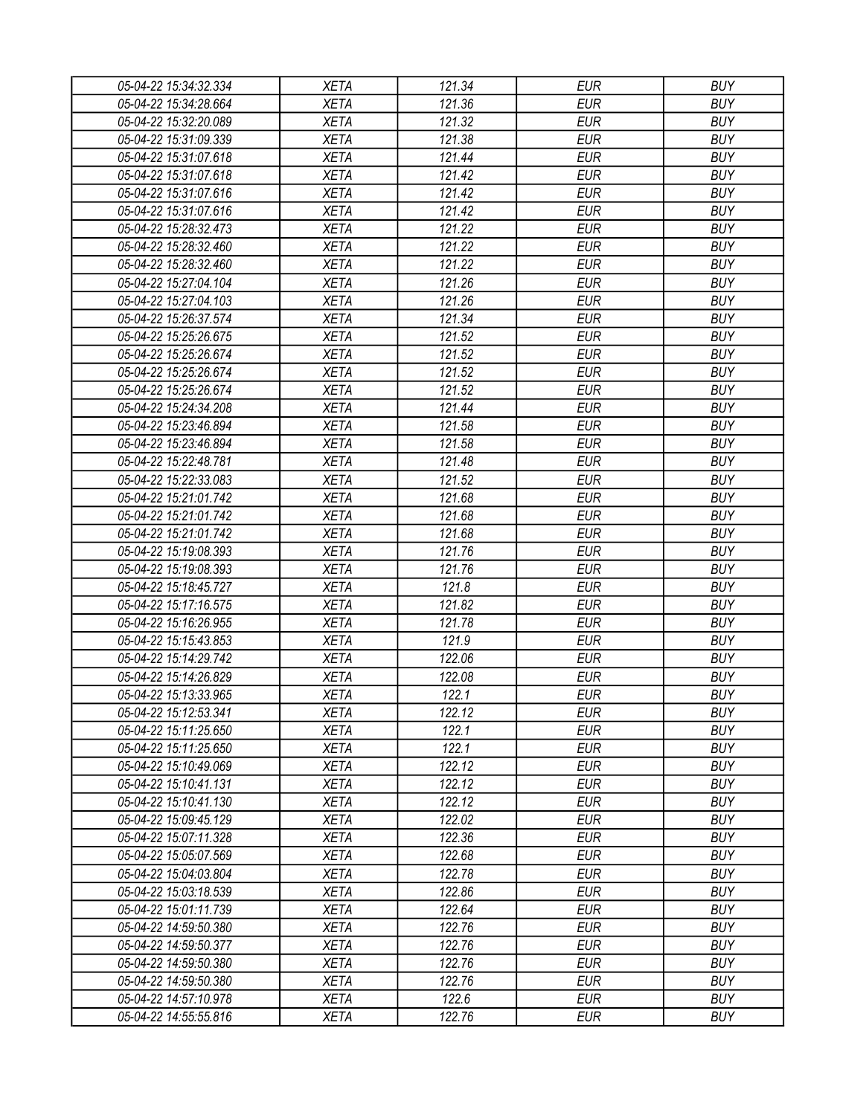| 05-04-22 15:34:32.334 | <b>XETA</b> | 121.34 | <b>EUR</b> | <b>BUY</b> |
|-----------------------|-------------|--------|------------|------------|
| 05-04-22 15:34:28.664 | <b>XETA</b> | 121.36 | <b>EUR</b> | <b>BUY</b> |
| 05-04-22 15:32:20.089 | <b>XETA</b> | 121.32 | <b>EUR</b> | <b>BUY</b> |
| 05-04-22 15:31:09.339 | <b>XETA</b> | 121.38 | <b>EUR</b> | <b>BUY</b> |
| 05-04-22 15:31:07.618 | <b>XETA</b> | 121.44 | <b>EUR</b> | <b>BUY</b> |
| 05-04-22 15:31:07.618 | <b>XETA</b> | 121.42 | <b>EUR</b> | <b>BUY</b> |
| 05-04-22 15:31:07.616 | <b>XETA</b> | 121.42 | <b>EUR</b> | <b>BUY</b> |
| 05-04-22 15:31:07.616 | <b>XETA</b> | 121.42 | <b>EUR</b> | <b>BUY</b> |
| 05-04-22 15:28:32.473 | <b>XETA</b> | 121.22 | <b>EUR</b> | <b>BUY</b> |
| 05-04-22 15:28:32.460 | <b>XETA</b> | 121.22 | <b>EUR</b> | <b>BUY</b> |
| 05-04-22 15:28:32.460 | <b>XETA</b> | 121.22 | <b>EUR</b> | <b>BUY</b> |
| 05-04-22 15:27:04.104 | <b>XETA</b> | 121.26 | <b>EUR</b> | <b>BUY</b> |
| 05-04-22 15:27:04.103 | <b>XETA</b> | 121.26 | <b>EUR</b> | <b>BUY</b> |
| 05-04-22 15:26:37.574 | <b>XETA</b> | 121.34 | <b>EUR</b> | <b>BUY</b> |
| 05-04-22 15:25:26.675 | <b>XETA</b> | 121.52 | <b>EUR</b> | <b>BUY</b> |
| 05-04-22 15:25:26.674 | <b>XETA</b> | 121.52 | <b>EUR</b> | <b>BUY</b> |
| 05-04-22 15:25:26.674 | <b>XETA</b> | 121.52 | <b>EUR</b> | <b>BUY</b> |
| 05-04-22 15:25:26.674 | <b>XETA</b> | 121.52 | <b>EUR</b> | <b>BUY</b> |
| 05-04-22 15:24:34.208 | <b>XETA</b> | 121.44 | <b>EUR</b> | <b>BUY</b> |
| 05-04-22 15:23:46.894 | <b>XETA</b> | 121.58 | <b>EUR</b> | <b>BUY</b> |
| 05-04-22 15:23:46.894 | <b>XETA</b> | 121.58 | <b>EUR</b> | <b>BUY</b> |
| 05-04-22 15:22:48.781 | <b>XETA</b> | 121.48 | <b>EUR</b> | <b>BUY</b> |
| 05-04-22 15:22:33.083 | <b>XETA</b> | 121.52 | <b>EUR</b> | <b>BUY</b> |
| 05-04-22 15:21:01.742 | <b>XETA</b> | 121.68 | <b>EUR</b> | <b>BUY</b> |
| 05-04-22 15:21:01.742 | <b>XETA</b> | 121.68 | <b>EUR</b> | <b>BUY</b> |
| 05-04-22 15:21:01.742 | <b>XETA</b> | 121.68 | <b>EUR</b> | <b>BUY</b> |
| 05-04-22 15:19:08.393 | <b>XETA</b> | 121.76 | <b>EUR</b> | <b>BUY</b> |
| 05-04-22 15:19:08.393 | <b>XETA</b> | 121.76 | <b>EUR</b> | <b>BUY</b> |
| 05-04-22 15:18:45.727 | <b>XETA</b> | 121.8  | <b>EUR</b> | <b>BUY</b> |
| 05-04-22 15:17:16.575 | <b>XETA</b> | 121.82 | <b>EUR</b> | <b>BUY</b> |
| 05-04-22 15:16:26.955 | <b>XETA</b> | 121.78 | <b>EUR</b> | <b>BUY</b> |
| 05-04-22 15:15:43.853 | <b>XETA</b> | 121.9  | <b>EUR</b> | <b>BUY</b> |
| 05-04-22 15:14:29.742 | <b>XETA</b> | 122.06 | <b>EUR</b> | <b>BUY</b> |
| 05-04-22 15:14:26.829 | <b>XETA</b> | 122.08 | <b>EUR</b> | <b>BUY</b> |
| 05-04-22 15:13:33.965 | <b>XETA</b> | 122.1  | <b>EUR</b> | <b>BUY</b> |
| 05-04-22 15:12:53.341 | <b>XETA</b> | 122.12 | <b>EUR</b> | <b>BUY</b> |
| 05-04-22 15:11:25.650 | <b>XETA</b> | 122.1  | <b>EUR</b> | <b>BUY</b> |
| 05-04-22 15:11:25.650 | <b>XETA</b> | 122.1  | <b>EUR</b> | <b>BUY</b> |
| 05-04-22 15:10:49.069 | <b>XETA</b> | 122.12 | <b>EUR</b> | <b>BUY</b> |
| 05-04-22 15:10:41.131 | <b>XETA</b> | 122.12 | <b>EUR</b> | <b>BUY</b> |
| 05-04-22 15:10:41.130 | <b>XETA</b> | 122.12 | <b>EUR</b> | <b>BUY</b> |
| 05-04-22 15:09:45.129 | <b>XETA</b> | 122.02 | <b>EUR</b> | <b>BUY</b> |
| 05-04-22 15:07:11.328 | <b>XETA</b> | 122.36 | <b>EUR</b> | <b>BUY</b> |
| 05-04-22 15:05:07.569 | <b>XETA</b> | 122.68 | <b>EUR</b> | <b>BUY</b> |
| 05-04-22 15:04:03.804 | <b>XETA</b> | 122.78 | <b>EUR</b> | <b>BUY</b> |
| 05-04-22 15:03:18.539 | <b>XETA</b> | 122.86 | <b>EUR</b> | <b>BUY</b> |
| 05-04-22 15:01:11.739 | <b>XETA</b> | 122.64 | <b>EUR</b> | <b>BUY</b> |
| 05-04-22 14:59:50.380 | <b>XETA</b> | 122.76 | <b>EUR</b> | <b>BUY</b> |
| 05-04-22 14:59:50.377 | <b>XETA</b> | 122.76 | <b>EUR</b> | <b>BUY</b> |
| 05-04-22 14:59:50.380 | <b>XETA</b> | 122.76 | <b>EUR</b> | <b>BUY</b> |
| 05-04-22 14:59:50.380 | <b>XETA</b> | 122.76 | <b>EUR</b> | <b>BUY</b> |
| 05-04-22 14:57:10.978 | <b>XETA</b> | 122.6  | <b>EUR</b> | <b>BUY</b> |
| 05-04-22 14:55:55.816 | <b>XETA</b> | 122.76 | <b>EUR</b> | <b>BUY</b> |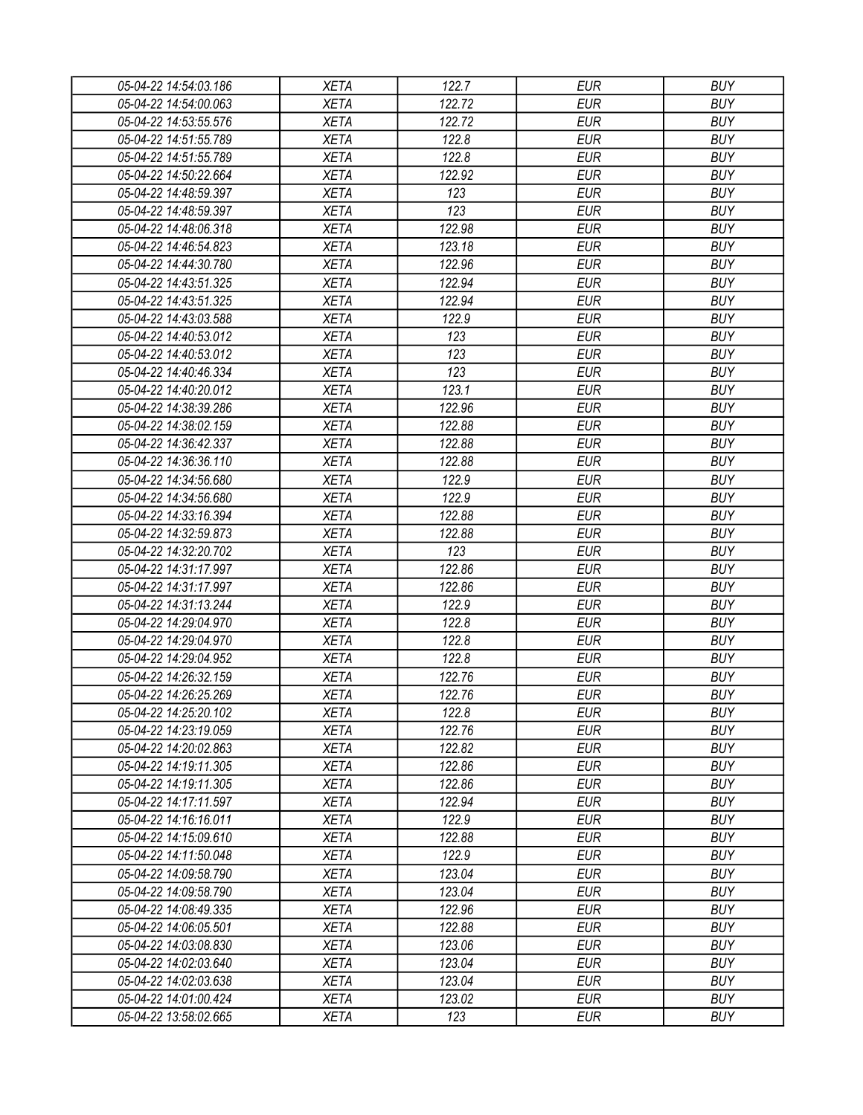| 05-04-22 14:54:03.186                          | XETA                       | 122.7  | EUR                      | <b>BUY</b>               |
|------------------------------------------------|----------------------------|--------|--------------------------|--------------------------|
| 05-04-22 14:54:00.063                          | <b>XETA</b>                | 122.72 | <b>EUR</b>               | <b>BUY</b>               |
| 05-04-22 14:53:55.576                          | <b>XETA</b>                | 122.72 | <b>EUR</b>               | <b>BUY</b>               |
| 05-04-22 14:51:55.789                          | <b>XETA</b>                | 122.8  | <b>EUR</b>               | <b>BUY</b>               |
| 05-04-22 14:51:55.789                          | <b>XETA</b>                | 122.8  | <b>EUR</b>               | <b>BUY</b>               |
| 05-04-22 14:50:22.664                          | <b>XETA</b>                | 122.92 | <b>EUR</b>               | <b>BUY</b>               |
| 05-04-22 14:48:59.397                          | <b>XETA</b>                | 123    | <b>EUR</b>               | <b>BUY</b>               |
| 05-04-22 14:48:59.397                          | <b>XETA</b>                | 123    | <b>EUR</b>               | <b>BUY</b>               |
| 05-04-22 14:48:06.318                          | <b>XETA</b>                | 122.98 | <b>EUR</b>               | <b>BUY</b>               |
| 05-04-22 14:46:54.823                          | <b>XETA</b>                | 123.18 | <b>EUR</b>               | <b>BUY</b>               |
| 05-04-22 14:44:30.780                          | <b>XETA</b>                | 122.96 | <b>EUR</b>               | <b>BUY</b>               |
| 05-04-22 14:43:51.325                          | <b>XETA</b>                | 122.94 | <b>EUR</b>               | <b>BUY</b>               |
| 05-04-22 14:43:51.325                          | <b>XETA</b>                | 122.94 | <b>EUR</b>               | <b>BUY</b>               |
| 05-04-22 14:43:03.588                          | <b>XETA</b>                | 122.9  | <b>EUR</b>               | <b>BUY</b>               |
| 05-04-22 14:40:53.012                          | <b>XETA</b>                | 123    | <b>EUR</b>               | <b>BUY</b>               |
| 05-04-22 14:40:53.012                          | <b>XETA</b>                | 123    | <b>EUR</b>               | <b>BUY</b>               |
| 05-04-22 14:40:46.334                          | <b>XETA</b>                | 123    | <b>EUR</b>               | <b>BUY</b>               |
| 05-04-22 14:40:20.012                          | <b>XETA</b>                | 123.1  | <b>EUR</b>               | <b>BUY</b>               |
| 05-04-22 14:38:39.286                          | <b>XETA</b>                | 122.96 | <b>EUR</b>               | <b>BUY</b>               |
| 05-04-22 14:38:02.159                          | <b>XETA</b>                | 122.88 | <b>EUR</b>               | <b>BUY</b>               |
| 05-04-22 14:36:42.337                          | <b>XETA</b>                | 122.88 | <b>EUR</b>               | <b>BUY</b>               |
| 05-04-22 14:36:36.110                          | <b>XETA</b>                | 122.88 | <b>EUR</b>               | <b>BUY</b>               |
| 05-04-22 14:34:56.680                          | <b>XETA</b>                | 122.9  | <b>EUR</b>               | <b>BUY</b>               |
| 05-04-22 14:34:56.680                          | <b>XETA</b>                | 122.9  | <b>EUR</b>               | <b>BUY</b>               |
| 05-04-22 14:33:16.394                          | <b>XETA</b>                | 122.88 | <b>EUR</b>               | <b>BUY</b>               |
| 05-04-22 14:32:59.873                          | <b>XETA</b>                | 122.88 | EUR                      | <b>BUY</b>               |
| 05-04-22 14:32:20.702                          | <b>XETA</b>                | 123    | <b>EUR</b>               | <b>BUY</b>               |
| 05-04-22 14:31:17.997                          | <b>XETA</b>                | 122.86 | <b>EUR</b>               | <b>BUY</b>               |
| 05-04-22 14:31:17.997                          | <b>XETA</b>                | 122.86 | <b>EUR</b>               | <b>BUY</b>               |
| 05-04-22 14:31:13.244                          | <b>XETA</b>                | 122.9  | <b>EUR</b>               | <b>BUY</b>               |
| 05-04-22 14:29:04.970                          | <b>XETA</b>                | 122.8  | <b>EUR</b>               | <b>BUY</b>               |
| 05-04-22 14:29:04.970                          | <b>XETA</b>                | 122.8  | <b>EUR</b>               | <b>BUY</b>               |
| 05-04-22 14:29:04.952                          | <b>XETA</b>                | 122.8  | <b>EUR</b>               | <b>BUY</b>               |
| 05-04-22 14:26:32.159                          | <b>XETA</b>                | 122.76 | <b>EUR</b>               | <b>BUY</b>               |
| 05-04-22 14:26:25.269                          | <b>XETA</b>                | 122.76 | <b>EUR</b>               | <b>BUY</b>               |
| 05-04-22 14:25:20.102                          | <b>XETA</b>                | 122.8  | <b>EUR</b>               | <b>BUY</b>               |
| 05-04-22 14:23:19.059                          |                            | 122.76 | <b>EUR</b>               | <b>BUY</b>               |
| 05-04-22 14:20:02.863                          | <b>XETA</b>                | 122.82 | <b>EUR</b>               | <b>BUY</b>               |
|                                                | <b>XETA</b>                | 122.86 |                          |                          |
| 05-04-22 14:19:11.305<br>05-04-22 14:19:11.305 | <b>XETA</b><br><b>XETA</b> | 122.86 | <b>EUR</b><br><b>EUR</b> | <b>BUY</b><br><b>BUY</b> |
|                                                |                            |        |                          |                          |
| 05-04-22 14:17:11.597                          | <b>XETA</b>                | 122.94 | <b>EUR</b>               | <b>BUY</b>               |
| 05-04-22 14:16:16.011                          | <b>XETA</b>                | 122.9  | <b>EUR</b>               | <b>BUY</b>               |
| 05-04-22 14:15:09.610                          | <b>XETA</b>                | 122.88 | <b>EUR</b>               | <b>BUY</b>               |
| 05-04-22 14:11:50.048                          | <b>XETA</b>                | 122.9  | <b>EUR</b>               | <b>BUY</b>               |
| 05-04-22 14:09:58.790                          | <b>XETA</b>                | 123.04 | <b>EUR</b>               | <b>BUY</b>               |
| 05-04-22 14:09:58.790                          | <b>XETA</b>                | 123.04 | <b>EUR</b>               | <b>BUY</b>               |
| 05-04-22 14:08:49.335                          | <b>XETA</b>                | 122.96 | <b>EUR</b>               | <b>BUY</b>               |
| 05-04-22 14:06:05.501                          | <b>XETA</b>                | 122.88 | <b>EUR</b>               | <b>BUY</b>               |
| 05-04-22 14:03:08.830                          | <b>XETA</b>                | 123.06 | <b>EUR</b>               | <b>BUY</b>               |
| 05-04-22 14:02:03.640                          | <b>XETA</b>                | 123.04 | <b>EUR</b>               | <b>BUY</b>               |
| 05-04-22 14:02:03.638                          | <b>XETA</b>                | 123.04 | EUR                      | <b>BUY</b>               |
| 05-04-22 14:01:00.424                          | <b>XETA</b>                | 123.02 | <b>EUR</b>               | <b>BUY</b>               |
| 05-04-22 13:58:02.665                          | XETA                       | 123    | <b>EUR</b>               | <b>BUY</b>               |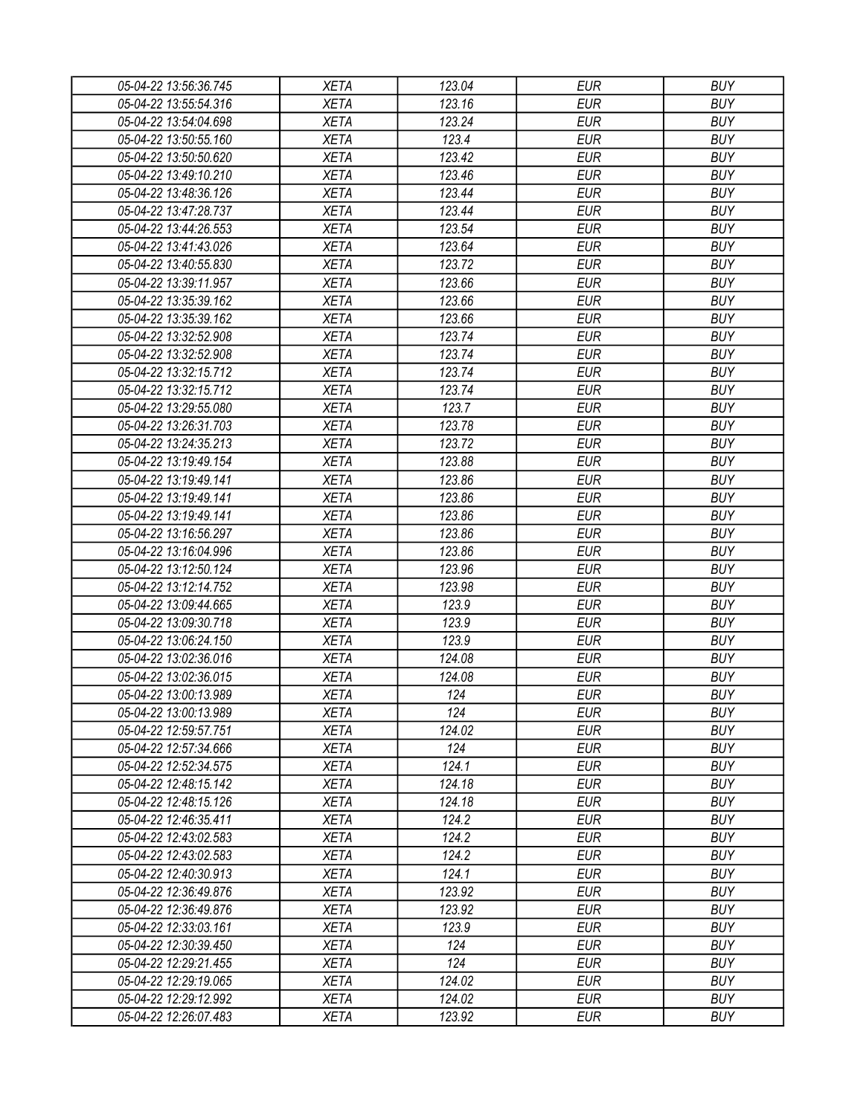| 05-04-22 13:56:36.745                          | XETA        | 123.04 | EUR        | <b>BUY</b> |
|------------------------------------------------|-------------|--------|------------|------------|
| 05-04-22 13:55:54.316                          | <b>XETA</b> | 123.16 | <b>EUR</b> | <b>BUY</b> |
| 05-04-22 13:54:04.698                          | <b>XETA</b> | 123.24 | <b>EUR</b> | <b>BUY</b> |
| 05-04-22 13:50:55.160                          | <b>XETA</b> | 123.4  | <b>EUR</b> | <b>BUY</b> |
| 05-04-22 13:50:50.620                          | <b>XETA</b> | 123.42 | <b>EUR</b> | <b>BUY</b> |
| 05-04-22 13:49:10.210                          | <b>XETA</b> | 123.46 | <b>EUR</b> | <b>BUY</b> |
| 05-04-22 13:48:36.126                          | <b>XETA</b> | 123.44 | <b>EUR</b> | <b>BUY</b> |
| 05-04-22 13:47:28.737                          | <b>XETA</b> | 123.44 | <b>EUR</b> | <b>BUY</b> |
| 05-04-22 13:44:26.553                          | <b>XETA</b> | 123.54 | <b>EUR</b> | <b>BUY</b> |
| 05-04-22 13:41:43.026                          | <b>XETA</b> | 123.64 | <b>EUR</b> | <b>BUY</b> |
| 05-04-22 13:40:55.830                          | <b>XETA</b> | 123.72 | <b>EUR</b> | <b>BUY</b> |
| 05-04-22 13:39:11.957                          | <b>XETA</b> | 123.66 | <b>EUR</b> | <b>BUY</b> |
| 05-04-22 13:35:39.162                          | <b>XETA</b> | 123.66 | <b>EUR</b> | <b>BUY</b> |
| 05-04-22 13:35:39.162                          | <b>XETA</b> | 123.66 | <b>EUR</b> | <b>BUY</b> |
| 05-04-22 13:32:52.908                          | <b>XETA</b> | 123.74 | <b>EUR</b> | <b>BUY</b> |
| 05-04-22 13:32:52.908                          | <b>XETA</b> | 123.74 | <b>EUR</b> | <b>BUY</b> |
| 05-04-22 13:32:15.712                          | <b>XETA</b> | 123.74 | <b>EUR</b> | <b>BUY</b> |
| 05-04-22 13:32:15.712                          | <b>XETA</b> | 123.74 | <b>EUR</b> | <b>BUY</b> |
| 05-04-22 13:29:55.080                          | <b>XETA</b> | 123.7  | <b>EUR</b> | <b>BUY</b> |
| 05-04-22 13:26:31.703                          | <b>XETA</b> | 123.78 | <b>EUR</b> | <b>BUY</b> |
| 05-04-22 13:24:35.213                          | <b>XETA</b> | 123.72 | <b>EUR</b> | <b>BUY</b> |
| 05-04-22 13:19:49.154                          | <b>XETA</b> | 123.88 | <b>EUR</b> | <b>BUY</b> |
| 05-04-22 13:19:49.141                          | <b>XETA</b> | 123.86 | <b>EUR</b> | <b>BUY</b> |
| 05-04-22 13:19:49.141                          | <b>XETA</b> | 123.86 | <b>EUR</b> | <b>BUY</b> |
| 05-04-22 13:19:49.141                          | <b>XETA</b> | 123.86 | <b>EUR</b> | <b>BUY</b> |
| 05-04-22 13:16:56.297                          | <b>XETA</b> | 123.86 | EUR        | <b>BUY</b> |
| 05-04-22 13:16:04.996                          | <b>XETA</b> | 123.86 | <b>EUR</b> | <b>BUY</b> |
| 05-04-22 13:12:50.124                          | <b>XETA</b> | 123.96 | <b>EUR</b> | <b>BUY</b> |
| 05-04-22 13:12:14.752                          | <b>XETA</b> | 123.98 | <b>EUR</b> | <b>BUY</b> |
| 05-04-22 13:09:44.665                          | <b>XETA</b> | 123.9  | <b>EUR</b> | <b>BUY</b> |
| 05-04-22 13:09:30.718                          | <b>XETA</b> | 123.9  | <b>EUR</b> | <b>BUY</b> |
| 05-04-22 13:06:24.150                          | <b>XETA</b> | 123.9  | <b>EUR</b> | <b>BUY</b> |
| 05-04-22 13:02:36.016                          | <b>XETA</b> | 124.08 | <b>EUR</b> | <b>BUY</b> |
|                                                |             |        | <b>EUR</b> | <b>BUY</b> |
| 05-04-22 13:02:36.015<br>05-04-22 13:00:13.989 | <b>XETA</b> | 124.08 |            |            |
|                                                | <b>XETA</b> | 124    | <b>EUR</b> | <b>BUY</b> |
| 05-04-22 13:00:13.989                          | <b>XETA</b> | 124    | <b>EUR</b> | <b>BUY</b> |
| 05-04-22 12:59:57.751                          | <b>XETA</b> | 124.02 | <b>EUR</b> | <b>BUY</b> |
| 05-04-22 12:57:34.666                          | <b>XETA</b> | 124    | <b>EUR</b> | <b>BUY</b> |
| 05-04-22 12:52:34.575                          | <b>XETA</b> | 124.1  | <b>EUR</b> | <b>BUY</b> |
| 05-04-22 12:48:15.142                          | <b>XETA</b> | 124.18 | <b>EUR</b> | <b>BUY</b> |
| 05-04-22 12:48:15.126                          | <b>XETA</b> | 124.18 | <b>EUR</b> | <b>BUY</b> |
| 05-04-22 12:46:35.411                          | <b>XETA</b> | 124.2  | <b>EUR</b> | <b>BUY</b> |
| 05-04-22 12:43:02.583                          | <b>XETA</b> | 124.2  | <b>EUR</b> | <b>BUY</b> |
| 05-04-22 12:43:02.583                          | <b>XETA</b> | 124.2  | <b>EUR</b> | <b>BUY</b> |
| 05-04-22 12:40:30.913                          | <b>XETA</b> | 124.1  | <b>EUR</b> | <b>BUY</b> |
| 05-04-22 12:36:49.876                          | <b>XETA</b> | 123.92 | <b>EUR</b> | <b>BUY</b> |
| 05-04-22 12:36:49.876                          | <b>XETA</b> | 123.92 | <b>EUR</b> | <b>BUY</b> |
| 05-04-22 12:33:03.161                          | <b>XETA</b> | 123.9  | <b>EUR</b> | <b>BUY</b> |
| 05-04-22 12:30:39.450                          | <b>XETA</b> | 124    | <b>EUR</b> | <b>BUY</b> |
| 05-04-22 12:29:21.455                          | <b>XETA</b> | 124    | <b>EUR</b> | <b>BUY</b> |
| 05-04-22 12:29:19.065                          | <b>XETA</b> | 124.02 | EUR        | <b>BUY</b> |
| 05-04-22 12:29:12.992                          | <b>XETA</b> | 124.02 | <b>EUR</b> | <b>BUY</b> |
| 05-04-22 12:26:07.483                          | <b>XETA</b> | 123.92 | <b>EUR</b> | <b>BUY</b> |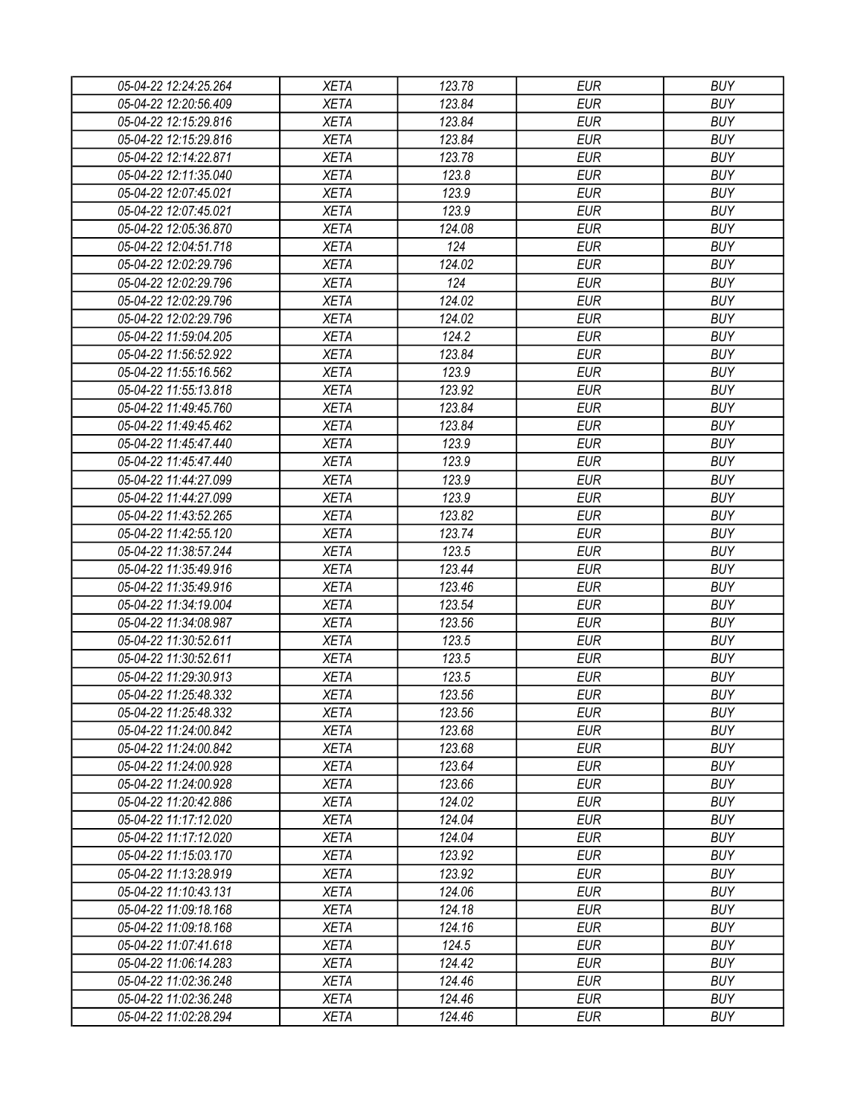| 05-04-22 12:24:25.264 | <b>XETA</b> | 123.78 | <b>EUR</b> | <b>BUY</b> |
|-----------------------|-------------|--------|------------|------------|
| 05-04-22 12:20:56.409 | <b>XETA</b> | 123.84 | <b>EUR</b> | <b>BUY</b> |
| 05-04-22 12:15:29.816 | <b>XETA</b> | 123.84 | <b>EUR</b> | <b>BUY</b> |
| 05-04-22 12:15:29.816 | <b>XETA</b> | 123.84 | <b>EUR</b> | <b>BUY</b> |
| 05-04-22 12:14:22.871 | <b>XETA</b> | 123.78 | <b>EUR</b> | <b>BUY</b> |
| 05-04-22 12:11:35.040 | <b>XETA</b> | 123.8  | <b>EUR</b> | <b>BUY</b> |
| 05-04-22 12:07:45.021 | <b>XETA</b> | 123.9  | <b>EUR</b> | <b>BUY</b> |
| 05-04-22 12:07:45.021 | <b>XETA</b> | 123.9  | <b>EUR</b> | <b>BUY</b> |
| 05-04-22 12:05:36.870 | <b>XETA</b> | 124.08 | <b>EUR</b> | <b>BUY</b> |
| 05-04-22 12:04:51.718 | <b>XETA</b> | 124    | <b>EUR</b> | <b>BUY</b> |
| 05-04-22 12:02:29.796 | <b>XETA</b> | 124.02 | <b>EUR</b> | <b>BUY</b> |
| 05-04-22 12:02:29.796 | <b>XETA</b> | 124    | <b>EUR</b> | <b>BUY</b> |
| 05-04-22 12:02:29.796 | <b>XETA</b> | 124.02 | <b>EUR</b> | <b>BUY</b> |
| 05-04-22 12:02:29.796 | <b>XETA</b> | 124.02 | <b>EUR</b> | <b>BUY</b> |
| 05-04-22 11:59:04.205 | <b>XETA</b> | 124.2  | <b>EUR</b> | <b>BUY</b> |
| 05-04-22 11:56:52.922 | <b>XETA</b> | 123.84 | <b>EUR</b> | <b>BUY</b> |
| 05-04-22 11:55:16.562 | <b>XETA</b> | 123.9  | <b>EUR</b> | <b>BUY</b> |
| 05-04-22 11:55:13.818 | <b>XETA</b> | 123.92 | <b>EUR</b> | <b>BUY</b> |
| 05-04-22 11:49:45.760 | <b>XETA</b> | 123.84 | <b>EUR</b> | <b>BUY</b> |
| 05-04-22 11:49:45.462 | <b>XETA</b> | 123.84 | <b>EUR</b> | <b>BUY</b> |
| 05-04-22 11:45:47.440 | <b>XETA</b> | 123.9  | <b>EUR</b> | <b>BUY</b> |
| 05-04-22 11:45:47.440 | <b>XETA</b> | 123.9  | <b>EUR</b> | <b>BUY</b> |
| 05-04-22 11:44:27.099 | <b>XETA</b> | 123.9  | <b>EUR</b> | <b>BUY</b> |
| 05-04-22 11:44:27.099 | <b>XETA</b> | 123.9  | <b>EUR</b> | <b>BUY</b> |
| 05-04-22 11:43:52.265 | <b>XETA</b> | 123.82 | <b>EUR</b> | <b>BUY</b> |
| 05-04-22 11:42:55.120 | <b>XETA</b> | 123.74 | <b>EUR</b> | <b>BUY</b> |
| 05-04-22 11:38:57.244 | <b>XETA</b> | 123.5  | <b>EUR</b> | <b>BUY</b> |
| 05-04-22 11:35:49.916 | <b>XETA</b> | 123.44 | <b>EUR</b> | <b>BUY</b> |
| 05-04-22 11:35:49.916 | <b>XETA</b> | 123.46 | <b>EUR</b> | <b>BUY</b> |
| 05-04-22 11:34:19.004 | <b>XETA</b> | 123.54 | <b>EUR</b> | <b>BUY</b> |
| 05-04-22 11:34:08.987 | <b>XETA</b> | 123.56 | <b>EUR</b> | <b>BUY</b> |
| 05-04-22 11:30:52.611 | <b>XETA</b> | 123.5  | <b>EUR</b> | <b>BUY</b> |
| 05-04-22 11:30:52.611 | <b>XETA</b> | 123.5  | <b>EUR</b> | <b>BUY</b> |
| 05-04-22 11:29:30.913 | <b>XETA</b> | 123.5  | <b>EUR</b> | <b>BUY</b> |
| 05-04-22 11:25:48.332 | <b>XETA</b> | 123.56 | <b>EUR</b> | <b>BUY</b> |
| 05-04-22 11:25:48.332 | <b>XETA</b> | 123.56 | <b>EUR</b> | <b>BUY</b> |
| 05-04-22 11:24:00.842 | <b>XETA</b> | 123.68 | <b>EUR</b> | <b>BUY</b> |
| 05-04-22 11:24:00.842 | <b>XETA</b> | 123.68 | <b>EUR</b> | <b>BUY</b> |
| 05-04-22 11:24:00.928 | <b>XETA</b> | 123.64 | <b>EUR</b> | <b>BUY</b> |
| 05-04-22 11:24:00.928 | <b>XETA</b> | 123.66 | <b>EUR</b> | <b>BUY</b> |
| 05-04-22 11:20:42.886 | <b>XETA</b> | 124.02 | <b>EUR</b> | <b>BUY</b> |
| 05-04-22 11:17:12.020 | <b>XETA</b> | 124.04 | <b>EUR</b> | <b>BUY</b> |
| 05-04-22 11:17:12.020 | <b>XETA</b> | 124.04 | <b>EUR</b> | <b>BUY</b> |
| 05-04-22 11:15:03.170 | <b>XETA</b> | 123.92 | <b>EUR</b> | <b>BUY</b> |
| 05-04-22 11:13:28.919 | <b>XETA</b> | 123.92 | <b>EUR</b> | <b>BUY</b> |
| 05-04-22 11:10:43.131 | <b>XETA</b> | 124.06 | <b>EUR</b> | <b>BUY</b> |
| 05-04-22 11:09:18.168 | <b>XETA</b> | 124.18 | <b>EUR</b> | <b>BUY</b> |
| 05-04-22 11:09:18.168 | <b>XETA</b> | 124.16 | <b>EUR</b> | <b>BUY</b> |
| 05-04-22 11:07:41.618 | <b>XETA</b> | 124.5  | <b>EUR</b> | <b>BUY</b> |
| 05-04-22 11:06:14.283 | <b>XETA</b> | 124.42 | <b>EUR</b> | <b>BUY</b> |
| 05-04-22 11:02:36.248 | <b>XETA</b> | 124.46 | <b>EUR</b> | <b>BUY</b> |
| 05-04-22 11:02:36.248 | <b>XETA</b> | 124.46 | <b>EUR</b> | <b>BUY</b> |
| 05-04-22 11:02:28.294 | <b>XETA</b> | 124.46 | <b>EUR</b> | <b>BUY</b> |
|                       |             |        |            |            |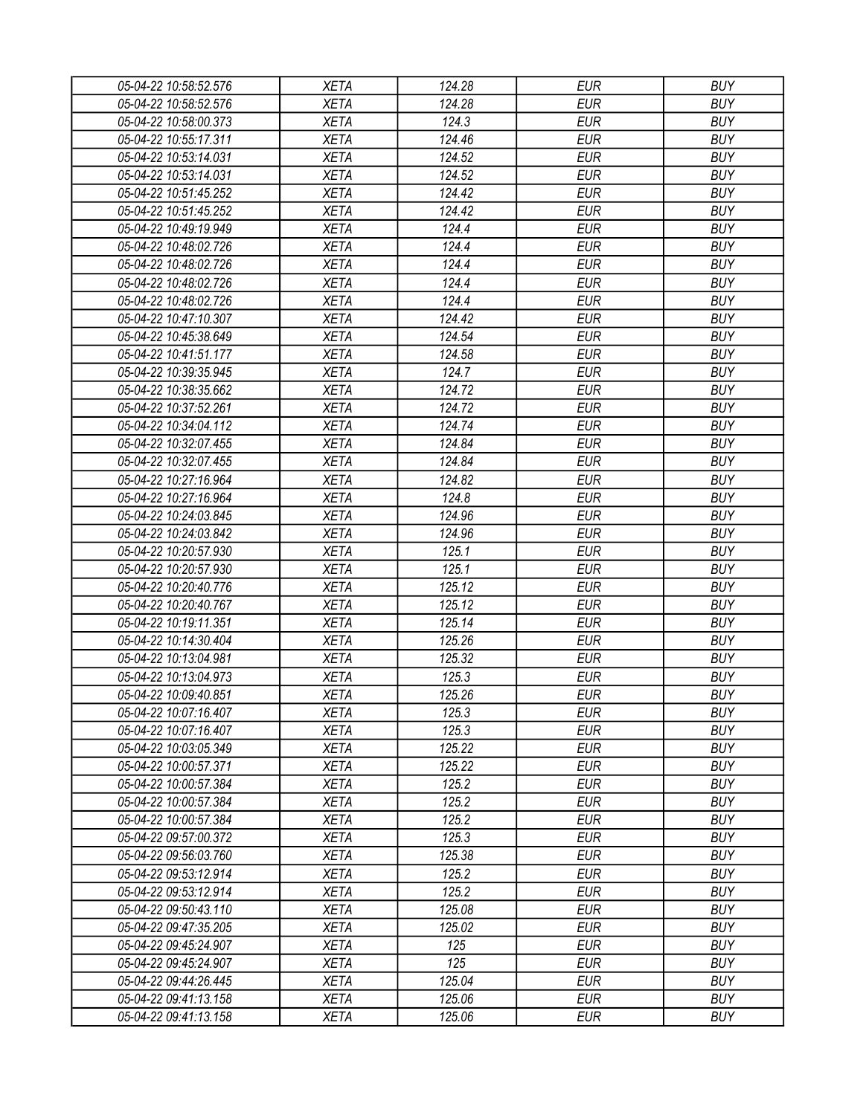| 05-04-22 10:58:52.576 | <b>XETA</b> | 124.28 | <b>EUR</b> | <b>BUY</b> |
|-----------------------|-------------|--------|------------|------------|
| 05-04-22 10:58:52.576 | <b>XETA</b> | 124.28 | <b>EUR</b> | <b>BUY</b> |
| 05-04-22 10:58:00.373 | <b>XETA</b> | 124.3  | <b>EUR</b> | <b>BUY</b> |
| 05-04-22 10:55:17.311 | <b>XETA</b> | 124.46 | <b>EUR</b> | <b>BUY</b> |
| 05-04-22 10:53:14.031 | <b>XETA</b> | 124.52 | <b>EUR</b> | <b>BUY</b> |
| 05-04-22 10:53:14.031 | <b>XETA</b> | 124.52 | <b>EUR</b> | <b>BUY</b> |
| 05-04-22 10:51:45.252 | <b>XETA</b> | 124.42 | <b>EUR</b> | <b>BUY</b> |
| 05-04-22 10:51:45.252 | <b>XETA</b> | 124.42 | <b>EUR</b> | <b>BUY</b> |
| 05-04-22 10:49:19.949 | <b>XETA</b> | 124.4  | <b>EUR</b> | <b>BUY</b> |
| 05-04-22 10:48:02.726 | <b>XETA</b> | 124.4  | <b>EUR</b> | <b>BUY</b> |
| 05-04-22 10:48:02.726 | <b>XETA</b> | 124.4  | <b>EUR</b> | <b>BUY</b> |
| 05-04-22 10:48:02.726 | <b>XETA</b> | 124.4  | <b>EUR</b> | <b>BUY</b> |
| 05-04-22 10:48:02.726 | <b>XETA</b> | 124.4  | <b>EUR</b> | <b>BUY</b> |
| 05-04-22 10:47:10.307 | <b>XETA</b> | 124.42 | <b>EUR</b> | <b>BUY</b> |
| 05-04-22 10:45:38.649 | <b>XETA</b> | 124.54 | <b>EUR</b> | <b>BUY</b> |
| 05-04-22 10:41:51.177 | <b>XETA</b> | 124.58 | <b>EUR</b> | <b>BUY</b> |
| 05-04-22 10:39:35.945 | <b>XETA</b> | 124.7  | <b>EUR</b> | <b>BUY</b> |
| 05-04-22 10:38:35.662 | <b>XETA</b> | 124.72 | <b>EUR</b> | <b>BUY</b> |
| 05-04-22 10:37:52.261 | <b>XETA</b> | 124.72 | <b>EUR</b> | <b>BUY</b> |
| 05-04-22 10:34:04.112 | <b>XETA</b> | 124.74 | <b>EUR</b> | <b>BUY</b> |
| 05-04-22 10:32:07.455 | <b>XETA</b> | 124.84 | <b>EUR</b> | <b>BUY</b> |
| 05-04-22 10:32:07.455 | <b>XETA</b> | 124.84 | <b>EUR</b> | <b>BUY</b> |
| 05-04-22 10:27:16.964 | <b>XETA</b> | 124.82 | <b>EUR</b> | <b>BUY</b> |
| 05-04-22 10:27:16.964 | <b>XETA</b> | 124.8  | <b>EUR</b> | <b>BUY</b> |
| 05-04-22 10:24:03.845 | <b>XETA</b> | 124.96 | <b>EUR</b> | <b>BUY</b> |
| 05-04-22 10:24:03.842 | <b>XETA</b> | 124.96 | <b>EUR</b> | <b>BUY</b> |
| 05-04-22 10:20:57.930 | <b>XETA</b> | 125.1  | <b>EUR</b> | <b>BUY</b> |
| 05-04-22 10:20:57.930 | <b>XETA</b> | 125.1  | <b>EUR</b> | <b>BUY</b> |
| 05-04-22 10:20:40.776 | <b>XETA</b> | 125.12 | <b>EUR</b> | <b>BUY</b> |
| 05-04-22 10:20:40.767 | <b>XETA</b> | 125.12 | <b>EUR</b> | <b>BUY</b> |
| 05-04-22 10:19:11.351 | <b>XETA</b> | 125.14 | <b>EUR</b> | <b>BUY</b> |
| 05-04-22 10:14:30.404 | <b>XETA</b> | 125.26 | <b>EUR</b> | <b>BUY</b> |
| 05-04-22 10:13:04.981 | <b>XETA</b> | 125.32 | <b>EUR</b> | <b>BUY</b> |
| 05-04-22 10:13:04.973 | <b>XETA</b> | 125.3  | <b>EUR</b> | <b>BUY</b> |
|                       |             | 125.26 | <b>EUR</b> | <b>BUY</b> |
| 05-04-22 10:09:40.851 | <b>XETA</b> |        |            |            |
| 05-04-22 10:07:16.407 | <b>XETA</b> | 125.3  | <b>EUR</b> | <b>BUY</b> |
| 05-04-22 10:07:16.407 | <b>XETA</b> | 125.3  | <b>EUR</b> | <b>BUY</b> |
| 05-04-22 10:03:05.349 | <b>XETA</b> | 125.22 | <b>EUR</b> | <b>BUY</b> |
| 05-04-22 10:00:57.371 | <b>XETA</b> | 125.22 | <b>EUR</b> | <b>BUY</b> |
| 05-04-22 10:00:57.384 | <b>XETA</b> | 125.2  | <b>EUR</b> | <b>BUY</b> |
| 05-04-22 10:00:57.384 | <b>XETA</b> | 125.2  | <b>EUR</b> | <b>BUY</b> |
| 05-04-22 10:00:57.384 | <b>XETA</b> | 125.2  | <b>EUR</b> | <b>BUY</b> |
| 05-04-22 09:57:00.372 | <b>XETA</b> | 125.3  | <b>EUR</b> | <b>BUY</b> |
| 05-04-22 09:56:03.760 | <b>XETA</b> | 125.38 | <b>EUR</b> | <b>BUY</b> |
| 05-04-22 09:53:12.914 | <b>XETA</b> | 125.2  | <b>EUR</b> | <b>BUY</b> |
| 05-04-22 09:53:12.914 | <b>XETA</b> | 125.2  | <b>EUR</b> | <b>BUY</b> |
| 05-04-22 09:50:43.110 | <b>XETA</b> | 125.08 | <b>EUR</b> | <b>BUY</b> |
| 05-04-22 09:47:35.205 | <b>XETA</b> | 125.02 | <b>EUR</b> | <b>BUY</b> |
| 05-04-22 09:45:24.907 | <b>XETA</b> | 125    | <b>EUR</b> | <b>BUY</b> |
| 05-04-22 09:45:24.907 | <b>XETA</b> | 125    | <b>EUR</b> | <b>BUY</b> |
| 05-04-22 09:44:26.445 | <b>XETA</b> | 125.04 | <b>EUR</b> | <b>BUY</b> |
| 05-04-22 09:41:13.158 | <b>XETA</b> | 125.06 | <b>EUR</b> | <b>BUY</b> |
| 05-04-22 09:41:13.158 | <b>XETA</b> | 125.06 | <b>EUR</b> | <b>BUY</b> |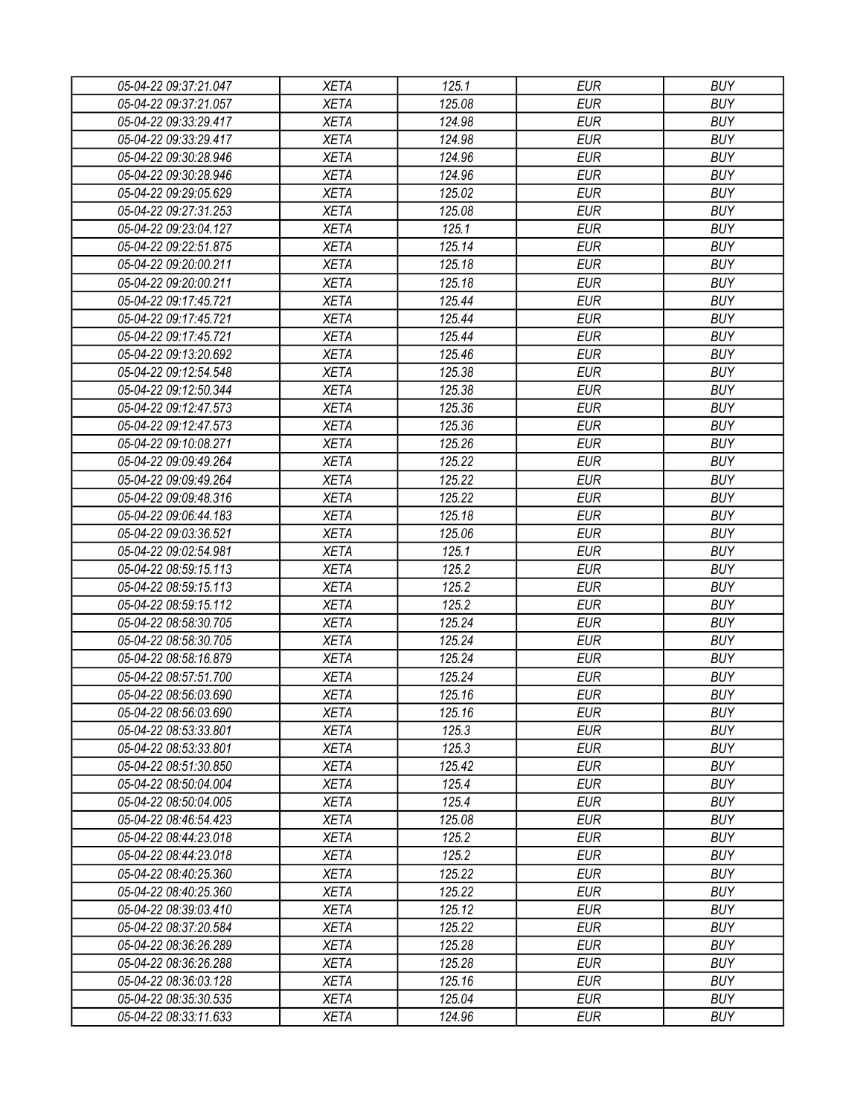| 05-04-22 09:37:21.047 | <b>XETA</b> | 125.1  | <b>EUR</b> | <b>BUY</b> |
|-----------------------|-------------|--------|------------|------------|
| 05-04-22 09:37:21.057 | <b>XETA</b> | 125.08 | <b>EUR</b> | <b>BUY</b> |
| 05-04-22 09:33:29.417 | <b>XETA</b> | 124.98 | <b>EUR</b> | <b>BUY</b> |
| 05-04-22 09:33:29.417 | <b>XETA</b> | 124.98 | <b>EUR</b> | <b>BUY</b> |
| 05-04-22 09:30:28.946 | <b>XETA</b> | 124.96 | <b>EUR</b> | <b>BUY</b> |
| 05-04-22 09:30:28.946 | <b>XETA</b> | 124.96 | <b>EUR</b> | <b>BUY</b> |
| 05-04-22 09:29:05.629 | <b>XETA</b> | 125.02 | <b>EUR</b> | <b>BUY</b> |
| 05-04-22 09:27:31.253 | <b>XETA</b> | 125.08 | <b>EUR</b> | <b>BUY</b> |
| 05-04-22 09:23:04.127 | <b>XETA</b> | 125.1  | <b>EUR</b> | <b>BUY</b> |
| 05-04-22 09:22:51.875 | <b>XETA</b> | 125.14 | <b>EUR</b> | <b>BUY</b> |
| 05-04-22 09:20:00.211 | <b>XETA</b> | 125.18 | <b>EUR</b> | <b>BUY</b> |
| 05-04-22 09:20:00.211 | <b>XETA</b> | 125.18 | <b>EUR</b> | <b>BUY</b> |
| 05-04-22 09:17:45.721 | <b>XETA</b> | 125.44 | <b>EUR</b> | <b>BUY</b> |
| 05-04-22 09:17:45.721 | <b>XETA</b> | 125.44 | <b>EUR</b> | <b>BUY</b> |
| 05-04-22 09:17:45.721 | <b>XETA</b> | 125.44 | <b>EUR</b> | <b>BUY</b> |
| 05-04-22 09:13:20.692 | <b>XETA</b> | 125.46 | <b>EUR</b> | <b>BUY</b> |
| 05-04-22 09:12:54.548 | <b>XETA</b> | 125.38 | <b>EUR</b> | <b>BUY</b> |
| 05-04-22 09:12:50.344 | <b>XETA</b> | 125.38 | <b>EUR</b> | <b>BUY</b> |
| 05-04-22 09:12:47.573 | <b>XETA</b> | 125.36 | <b>EUR</b> | <b>BUY</b> |
| 05-04-22 09:12:47.573 | <b>XETA</b> | 125.36 | <b>EUR</b> | <b>BUY</b> |
| 05-04-22 09:10:08.271 | <b>XETA</b> | 125.26 | <b>EUR</b> | <b>BUY</b> |
| 05-04-22 09:09:49.264 | <b>XETA</b> | 125.22 | <b>EUR</b> | <b>BUY</b> |
| 05-04-22 09:09:49.264 | <b>XETA</b> | 125.22 | <b>EUR</b> | <b>BUY</b> |
| 05-04-22 09:09:48.316 | <b>XETA</b> | 125.22 | <b>EUR</b> | <b>BUY</b> |
| 05-04-22 09:06:44.183 | <b>XETA</b> | 125.18 | <b>EUR</b> | <b>BUY</b> |
| 05-04-22 09:03:36.521 | <b>XETA</b> | 125.06 | <b>EUR</b> | <b>BUY</b> |
| 05-04-22 09:02:54.981 | <b>XETA</b> | 125.1  | <b>EUR</b> | <b>BUY</b> |
| 05-04-22 08:59:15.113 | <b>XETA</b> | 125.2  | <b>EUR</b> | <b>BUY</b> |
| 05-04-22 08:59:15.113 | <b>XETA</b> | 125.2  | <b>EUR</b> | <b>BUY</b> |
| 05-04-22 08:59:15.112 | <b>XETA</b> | 125.2  | <b>EUR</b> | <b>BUY</b> |
| 05-04-22 08:58:30.705 | <b>XETA</b> | 125.24 | <b>EUR</b> | <b>BUY</b> |
| 05-04-22 08:58:30.705 | <b>XETA</b> | 125.24 | <b>EUR</b> | <b>BUY</b> |
| 05-04-22 08:58:16.879 | <b>XETA</b> | 125.24 | <b>EUR</b> | <b>BUY</b> |
| 05-04-22 08:57:51.700 | <b>XETA</b> | 125.24 | <b>EUR</b> | <b>BUY</b> |
| 05-04-22 08:56:03.690 | <b>XETA</b> | 125.16 | <b>EUR</b> | <b>BUY</b> |
| 05-04-22 08:56:03.690 | <b>XETA</b> | 125.16 | <b>EUR</b> | <b>BUY</b> |
| 05-04-22 08:53:33.801 | <b>XETA</b> | 125.3  | <b>EUR</b> | <b>BUY</b> |
| 05-04-22 08:53:33.801 | <b>XETA</b> | 125.3  | <b>EUR</b> | <b>BUY</b> |
| 05-04-22 08:51:30.850 | <b>XETA</b> | 125.42 | <b>EUR</b> | <b>BUY</b> |
| 05-04-22 08:50:04.004 | <b>XETA</b> | 125.4  | <b>EUR</b> | <b>BUY</b> |
| 05-04-22 08:50:04.005 | <b>XETA</b> | 125.4  | <b>EUR</b> | <b>BUY</b> |
| 05-04-22 08:46:54.423 | <b>XETA</b> | 125.08 | <b>EUR</b> | <b>BUY</b> |
| 05-04-22 08:44:23.018 | <b>XETA</b> | 125.2  | <b>EUR</b> | <b>BUY</b> |
| 05-04-22 08:44:23.018 | <b>XETA</b> | 125.2  | <b>EUR</b> | <b>BUY</b> |
| 05-04-22 08:40:25.360 | <b>XETA</b> | 125.22 | <b>EUR</b> | <b>BUY</b> |
| 05-04-22 08:40:25.360 | <b>XETA</b> | 125.22 | <b>EUR</b> | <b>BUY</b> |
| 05-04-22 08:39:03.410 | <b>XETA</b> | 125.12 | <b>EUR</b> | <b>BUY</b> |
| 05-04-22 08:37:20.584 | <b>XETA</b> | 125.22 | <b>EUR</b> | <b>BUY</b> |
| 05-04-22 08:36:26.289 | <b>XETA</b> | 125.28 | <b>EUR</b> | <b>BUY</b> |
| 05-04-22 08:36:26.288 | <b>XETA</b> | 125.28 | <b>EUR</b> | <b>BUY</b> |
| 05-04-22 08:36:03.128 | <b>XETA</b> | 125.16 | <b>EUR</b> | <b>BUY</b> |
| 05-04-22 08:35:30.535 | <b>XETA</b> | 125.04 | <b>EUR</b> | <b>BUY</b> |
| 05-04-22 08:33:11.633 | <b>XETA</b> | 124.96 | <b>EUR</b> | <b>BUY</b> |